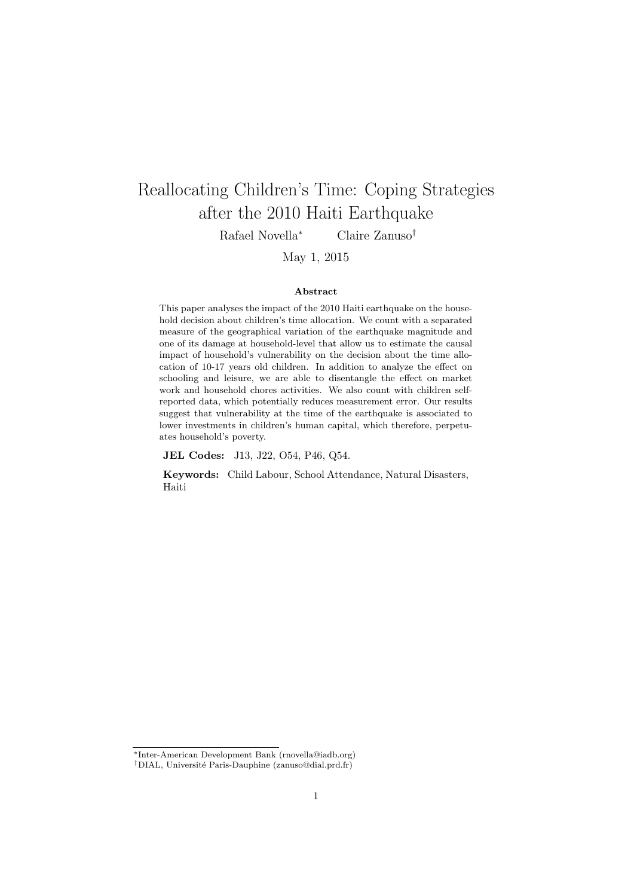# <span id="page-0-0"></span>Reallocating Children's Time: Coping Strategies after the 2010 Haiti Earthquake

Rafael Novella<sup>∗</sup> Claire Zanuso†

May 1, 2015

#### Abstract

This paper analyses the impact of the 2010 Haiti earthquake on the household decision about children's time allocation. We count with a separated measure of the geographical variation of the earthquake magnitude and one of its damage at household-level that allow us to estimate the causal impact of household's vulnerability on the decision about the time allocation of 10-17 years old children. In addition to analyze the effect on schooling and leisure, we are able to disentangle the effect on market work and household chores activities. We also count with children selfreported data, which potentially reduces measurement error. Our results suggest that vulnerability at the time of the earthquake is associated to lower investments in children's human capital, which therefore, perpetuates household's poverty.

JEL Codes: J13, J22, O54, P46, Q54.

Keywords: Child Labour, School Attendance, Natural Disasters, Haiti

<sup>∗</sup>Inter-American Development Bank (rnovella@iadb.org)

<sup>&</sup>lt;sup>†</sup>DIAL, Université Paris-Dauphine (zanuso@dial.prd.fr)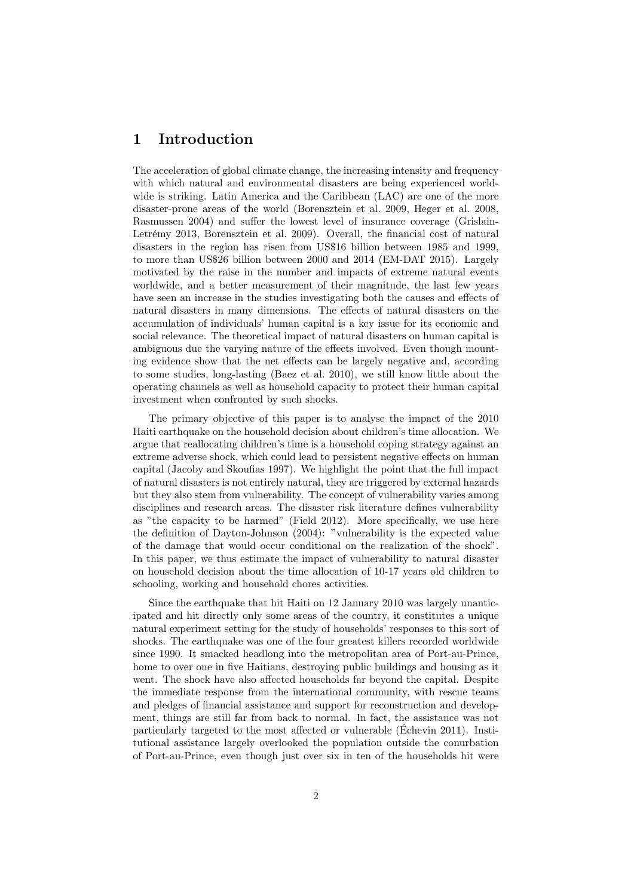## 1 Introduction

The acceleration of global climate change, the increasing intensity and frequency with which natural and environmental disasters are being experienced worldwide is striking. Latin America and the Caribbean (LAC) are one of the more disaster-prone areas of the world [\(Borensztein et al. 2009,](#page-23-0) [Heger et al. 2008,](#page-24-0) [Rasmussen 2004\)](#page-25-0) and suffer the lowest level of insurance coverage [\(Grislain-](#page-24-1)Letrémy 2013, [Borensztein et al. 2009\)](#page-23-0). Overall, the financial cost of natural disasters in the region has risen from US\$16 billion between 1985 and 1999, to more than US\$26 billion between 2000 and 2014 [\(EM-DAT 2015\)](#page-24-2). Largely motivated by the raise in the number and impacts of extreme natural events worldwide, and a better measurement of their magnitude, the last few years have seen an increase in the studies investigating both the causes and effects of natural disasters in many dimensions. The effects of natural disasters on the accumulation of individuals' human capital is a key issue for its economic and social relevance. The theoretical impact of natural disasters on human capital is ambiguous due the varying nature of the effects involved. Even though mounting evidence show that the net effects can be largely negative and, according to some studies, long-lasting [\(Baez et al. 2010\)](#page-22-0), we still know little about the operating channels as well as household capacity to protect their human capital investment when confronted by such shocks.

The primary objective of this paper is to analyse the impact of the 2010 Haiti earthquake on the household decision about children's time allocation. We argue that reallocating children's time is a household coping strategy against an extreme adverse shock, which could lead to persistent negative effects on human capital [\(Jacoby and Skoufias 1997\)](#page-25-1). We highlight the point that the full impact of natural disasters is not entirely natural, they are triggered by external hazards but they also stem from vulnerability. The concept of vulnerability varies among disciplines and research areas. The disaster risk literature defines vulnerability as "the capacity to be harmed" [\(Field 2012\)](#page-24-3). More specifically, we use here the definition of [Dayton-Johnson](#page-23-1) [\(2004\)](#page-23-1): "vulnerability is the expected value of the damage that would occur conditional on the realization of the shock". In this paper, we thus estimate the impact of vulnerability to natural disaster on household decision about the time allocation of 10-17 years old children to schooling, working and household chores activities.

Since the earthquake that hit Haiti on 12 January 2010 was largely unanticipated and hit directly only some areas of the country, it constitutes a unique natural experiment setting for the study of households' responses to this sort of shocks. The earthquake was one of the four greatest killers recorded worldwide since 1990. It smacked headlong into the metropolitan area of Port-au-Prince, home to over one in five Haitians, destroying public buildings and housing as it went. The shock have also affected households far beyond the capital. Despite the immediate response from the international community, with rescue teams and pledges of financial assistance and support for reconstruction and development, things are still far from back to normal. In fact, the assistance was not particularly targeted to the most affected or vulnerable [\(Echevin 2011\)](#page-24-4). Insti- ´ tutional assistance largely overlooked the population outside the conurbation of Port-au-Prince, even though just over six in ten of the households hit were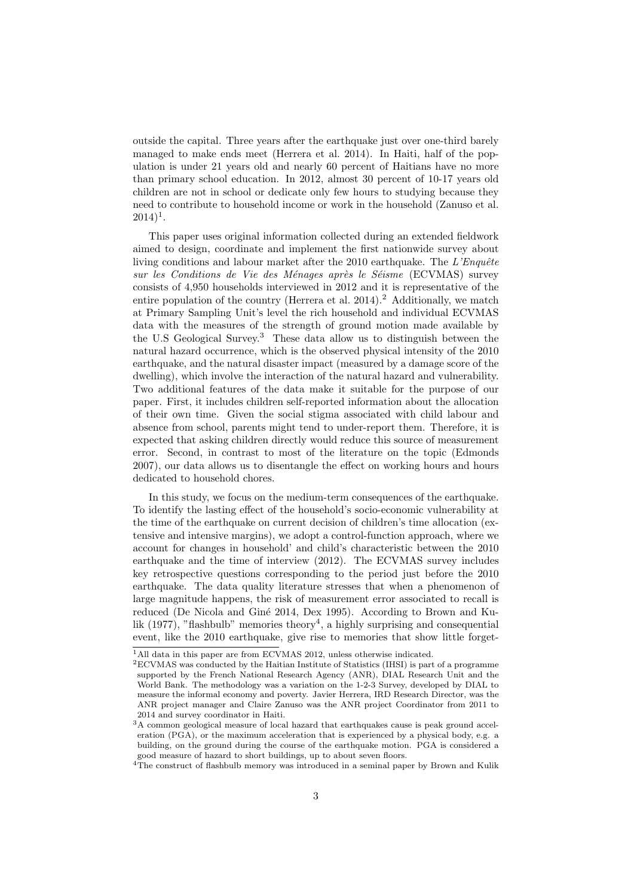outside the capital. Three years after the earthquake just over one-third barely managed to make ends meet [\(Herrera et al. 2014\)](#page-24-5). In Haiti, half of the population is under 21 years old and nearly 60 percent of Haitians have no more than primary school education. In 2012, almost 30 percent of 10-17 years old children are not in school or dedicate only few hours to studying because they need to contribute to household income or work in the household [\(Zanuso et al.](#page-26-0)  $2014)^{1}$  $2014)^{1}$  $2014)^{1}$  $2014)^{1}$ .

This paper uses original information collected during an extended fieldwork aimed to design, coordinate and implement the first nationwide survey about living conditions and labour market after the  $2010$  earthquake. The  $L'Enquête$ sur les Conditions de Vie des Ménages après le Séisme (ECVMAS) survey consists of 4,950 households interviewed in 2012 and it is representative of the entire population of the country [\(Herrera et al. 2014\)](#page-24-5).<sup>[2](#page-0-0)</sup> Additionally, we match at Primary Sampling Unit's level the rich household and individual ECVMAS data with the measures of the strength of ground motion made available by the U.S Geological Survey.[3](#page-0-0) These data allow us to distinguish between the natural hazard occurrence, which is the observed physical intensity of the 2010 earthquake, and the natural disaster impact (measured by a damage score of the dwelling), which involve the interaction of the natural hazard and vulnerability. Two additional features of the data make it suitable for the purpose of our paper. First, it includes children self-reported information about the allocation of their own time. Given the social stigma associated with child labour and absence from school, parents might tend to under-report them. Therefore, it is expected that asking children directly would reduce this source of measurement error. Second, in contrast to most of the literature on the topic [\(Edmonds](#page-24-6) [2007\)](#page-24-6), our data allows us to disentangle the effect on working hours and hours dedicated to household chores.

In this study, we focus on the medium-term consequences of the earthquake. To identify the lasting effect of the household's socio-economic vulnerability at the time of the earthquake on current decision of children's time allocation (extensive and intensive margins), we adopt a control-function approach, where we account for changes in household' and child's characteristic between the 2010 earthquake and the time of interview (2012). The ECVMAS survey includes key retrospective questions corresponding to the period just before the 2010 earthquake. The data quality literature stresses that when a phenomenon of large magnitude happens, the risk of measurement error associated to recall is reduced (De Nicola and Giné 2014, [Dex 1995\)](#page-23-3). According to [Brown and Ku](#page-23-4)[lik](#page-23-4)  $(1977)$ , "flashbulb" memories theory<sup>[4](#page-0-0)</sup>, a highly surprising and consequential event, like the 2010 earthquake, give rise to memories that show little forget-

<sup>&</sup>lt;sup>1</sup>All data in this paper are from ECVMAS 2012, unless otherwise indicated.

<sup>2</sup>ECVMAS was conducted by the Haitian Institute of Statistics (IHSI) is part of a programme supported by the French National Research Agency (ANR), DIAL Research Unit and the World Bank. The methodology was a variation on the 1-2-3 Survey, developed by DIAL to measure the informal economy and poverty. Javier Herrera, IRD Research Director, was the ANR project manager and Claire Zanuso was the ANR project Coordinator from 2011 to 2014 and survey coordinator in Haiti.

<sup>3</sup>A common geological measure of local hazard that earthquakes cause is peak ground acceleration (PGA), or the maximum acceleration that is experienced by a physical body, e.g. a building, on the ground during the course of the earthquake motion. PGA is considered a good measure of hazard to short buildings, up to about seven floors.

<sup>&</sup>lt;sup>4</sup>The construct of flashbulb memory was introduced in a seminal paper by [Brown and Kulik](#page-23-4)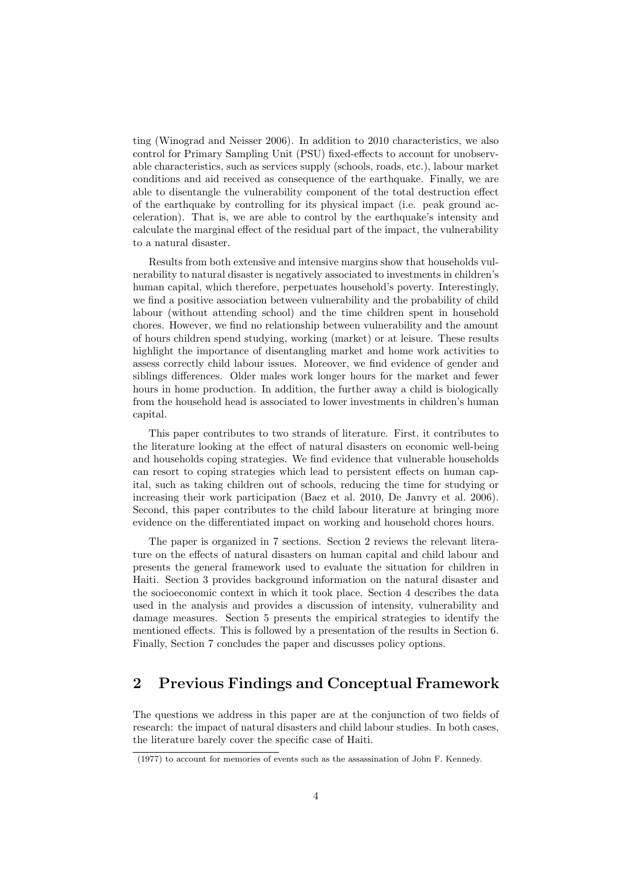ting [\(Winograd and Neisser 2006\)](#page-26-1). In addition to 2010 characteristics, we also control for Primary Sampling Unit (PSU) fixed-effects to account for unobservable characteristics, such as services supply (schools, roads, etc.), labour market conditions and aid received as consequence of the earthquake. Finally, we are able to disentangle the vulnerability component of the total destruction effect of the earthquake by controlling for its physical impact (i.e. peak ground acceleration). That is, we are able to control by the earthquake's intensity and calculate the marginal effect of the residual part of the impact, the vulnerability to a natural disaster.

Results from both extensive and intensive margins show that households vulnerability to natural disaster is negatively associated to investments in children's human capital, which therefore, perpetuates household's poverty. Interestingly, we find a positive association between vulnerability and the probability of child labour (without attending school) and the time children spent in household chores. However, we find no relationship between vulnerability and the amount of hours children spend studying, working (market) or at leisure. These results highlight the importance of disentangling market and home work activities to assess correctly child labour issues. Moreover, we find evidence of gender and siblings differences. Older males work longer hours for the market and fewer hours in home production. In addition, the further away a child is biologically from the household head is associated to lower investments in children's human capital.

This paper contributes to two strands of literature. First, it contributes to the literature looking at the effect of natural disasters on economic well-being and households coping strategies. We find evidence that vulnerable households can resort to coping strategies which lead to persistent effects on human capital, such as taking children out of schools, reducing the time for studying or increasing their work participation [\(Baez et al. 2010,](#page-22-0) [De Janvry et al. 2006\)](#page-23-5). Second, this paper contributes to the child labour literature at bringing more evidence on the differentiated impact on working and household chores hours.

The paper is organized in 7 sections. Section 2 reviews the relevant literature on the effects of natural disasters on human capital and child labour and presents the general framework used to evaluate the situation for children in Haiti. Section 3 provides background information on the natural disaster and the socioeconomic context in which it took place. Section 4 describes the data used in the analysis and provides a discussion of intensity, vulnerability and damage measures. Section 5 presents the empirical strategies to identify the mentioned effects. This is followed by a presentation of the results in Section 6. Finally, Section 7 concludes the paper and discusses policy options.

## 2 Previous Findings and Conceptual Framework

The questions we address in this paper are at the conjunction of two fields of research: the impact of natural disasters and child labour studies. In both cases, the literature barely cover the specific case of Haiti.

[<sup>\(1977\)</sup>](#page-23-4) to account for memories of events such as the assassination of John F. Kennedy.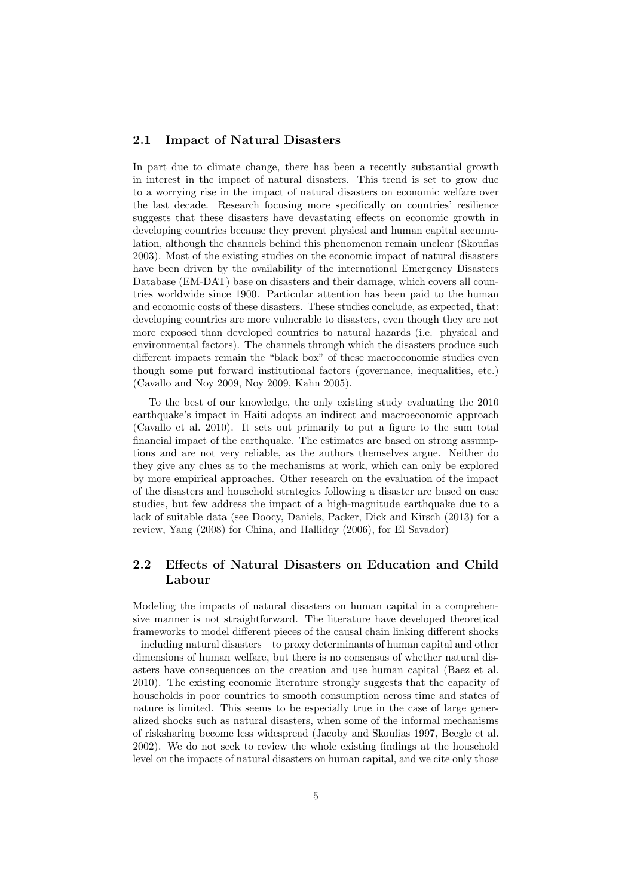#### 2.1 Impact of Natural Disasters

In part due to climate change, there has been a recently substantial growth in interest in the impact of natural disasters. This trend is set to grow due to a worrying rise in the impact of natural disasters on economic welfare over the last decade. Research focusing more specifically on countries' resilience suggests that these disasters have devastating effects on economic growth in developing countries because they prevent physical and human capital accumulation, although the channels behind this phenomenon remain unclear [\(Skoufias](#page-26-2) [2003\)](#page-26-2). Most of the existing studies on the economic impact of natural disasters have been driven by the availability of the international Emergency Disasters Database (EM-DAT) base on disasters and their damage, which covers all countries worldwide since 1900. Particular attention has been paid to the human and economic costs of these disasters. These studies conclude, as expected, that: developing countries are more vulnerable to disasters, even though they are not more exposed than developed countries to natural hazards (i.e. physical and environmental factors). The channels through which the disasters produce such different impacts remain the "black box" of these macroeconomic studies even though some put forward institutional factors (governance, inequalities, etc.) [\(Cavallo and Noy 2009,](#page-23-6) [Noy 2009,](#page-25-2) [Kahn 2005\)](#page-25-3).

To the best of our knowledge, the only existing study evaluating the 2010 earthquake's impact in Haiti adopts an indirect and macroeconomic approach [\(Cavallo et al. 2010\)](#page-23-7). It sets out primarily to put a figure to the sum total financial impact of the earthquake. The estimates are based on strong assumptions and are not very reliable, as the authors themselves argue. Neither do they give any clues as to the mechanisms at work, which can only be explored by more empirical approaches. Other research on the evaluation of the impact of the disasters and household strategies following a disaster are based on case studies, but few address the impact of a high-magnitude earthquake due to a lack of suitable data (see [Doocy, Daniels, Packer, Dick and Kirsch](#page-23-8) [\(2013\)](#page-23-8) for a review, [Yang](#page-26-3) [\(2008\)](#page-26-3) for China, and [Halliday](#page-24-7) [\(2006\)](#page-24-7), for El Savador)

## 2.2 Effects of Natural Disasters on Education and Child Labour

Modeling the impacts of natural disasters on human capital in a comprehensive manner is not straightforward. The literature have developed theoretical frameworks to model different pieces of the causal chain linking different shocks – including natural disasters – to proxy determinants of human capital and other dimensions of human welfare, but there is no consensus of whether natural disasters have consequences on the creation and use human capital [\(Baez et al.](#page-22-0) [2010\)](#page-22-0). The existing economic literature strongly suggests that the capacity of households in poor countries to smooth consumption across time and states of nature is limited. This seems to be especially true in the case of large generalized shocks such as natural disasters, when some of the informal mechanisms of risksharing become less widespread [\(Jacoby and Skoufias 1997,](#page-25-1) [Beegle et al.](#page-22-1) [2002\)](#page-22-1). We do not seek to review the whole existing findings at the household level on the impacts of natural disasters on human capital, and we cite only those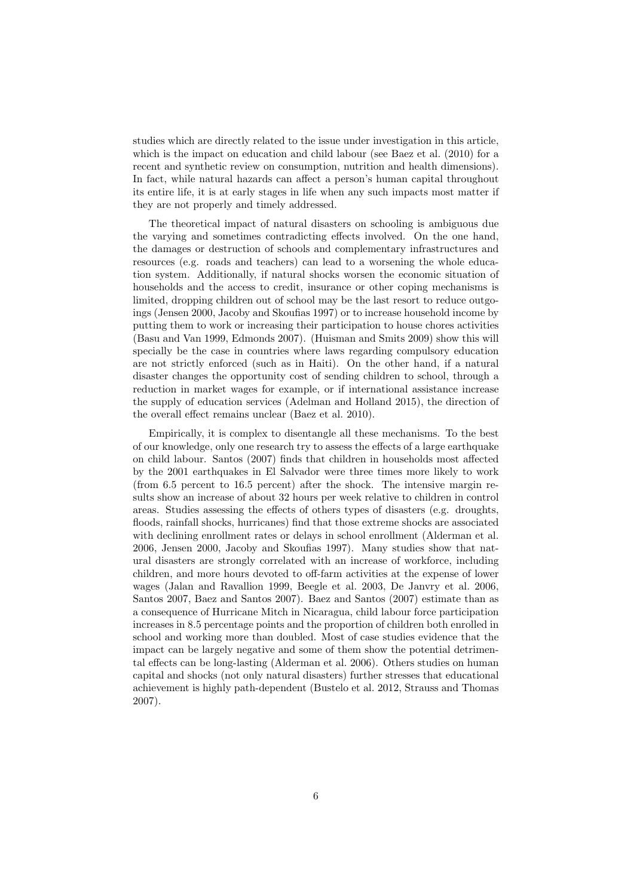studies which are directly related to the issue under investigation in this article, which is the impact on education and child labour (see [Baez et al.](#page-22-0) [\(2010\)](#page-22-0) for a recent and synthetic review on consumption, nutrition and health dimensions). In fact, while natural hazards can affect a person's human capital throughout its entire life, it is at early stages in life when any such impacts most matter if they are not properly and timely addressed.

The theoretical impact of natural disasters on schooling is ambiguous due the varying and sometimes contradicting effects involved. On the one hand, the damages or destruction of schools and complementary infrastructures and resources (e.g. roads and teachers) can lead to a worsening the whole education system. Additionally, if natural shocks worsen the economic situation of households and the access to credit, insurance or other coping mechanisms is limited, dropping children out of school may be the last resort to reduce outgoings [\(Jensen 2000,](#page-25-4) [Jacoby and Skoufias 1997\)](#page-25-1) or to increase household income by putting them to work or increasing their participation to house chores activities [\(Basu and Van 1999,](#page-22-2) [Edmonds 2007\)](#page-24-6). [\(Huisman and Smits 2009\)](#page-24-8) show this will specially be the case in countries where laws regarding compulsory education are not strictly enforced (such as in Haiti). On the other hand, if a natural disaster changes the opportunity cost of sending children to school, through a reduction in market wages for example, or if international assistance increase the supply of education services [\(Adelman and Holland 2015\)](#page-22-3), the direction of the overall effect remains unclear [\(Baez et al. 2010\)](#page-22-0).

Empirically, it is complex to disentangle all these mechanisms. To the best of our knowledge, only one research try to assess the effects of a large earthquake on child labour. [Santos](#page-25-5) [\(2007\)](#page-25-5) finds that children in households most affected by the 2001 earthquakes in El Salvador were three times more likely to work (from 6.5 percent to 16.5 percent) after the shock. The intensive margin results show an increase of about 32 hours per week relative to children in control areas. Studies assessing the effects of others types of disasters (e.g. droughts, floods, rainfall shocks, hurricanes) find that those extreme shocks are associated with declining enrollment rates or delays in school enrollment [\(Alderman et al.](#page-22-4) [2006,](#page-22-4) [Jensen 2000,](#page-25-4) [Jacoby and Skoufias 1997\)](#page-25-1). Many studies show that natural disasters are strongly correlated with an increase of workforce, including children, and more hours devoted to off-farm activities at the expense of lower wages [\(Jalan and Ravallion 1999,](#page-25-6) [Beegle et al. 2003,](#page-22-5) [De Janvry et al. 2006,](#page-23-5) [Santos 2007,](#page-25-5) [Baez and Santos 2007\)](#page-22-6). [Baez and Santos](#page-22-6) [\(2007\)](#page-22-6) estimate than as a consequence of Hurricane Mitch in Nicaragua, child labour force participation increases in 8.5 percentage points and the proportion of children both enrolled in school and working more than doubled. Most of case studies evidence that the impact can be largely negative and some of them show the potential detrimental effects can be long-lasting [\(Alderman et al. 2006\)](#page-22-4). Others studies on human capital and shocks (not only natural disasters) further stresses that educational achievement is highly path-dependent [\(Bustelo et al. 2012,](#page-23-9) [Strauss and Thomas](#page-26-4) [2007\)](#page-26-4).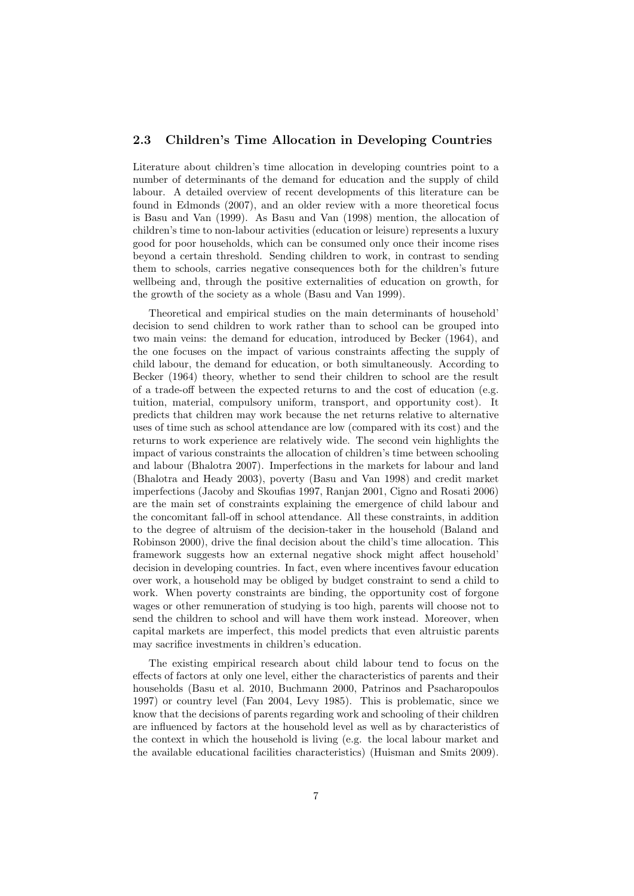#### 2.3 Children's Time Allocation in Developing Countries

Literature about children's time allocation in developing countries point to a number of determinants of the demand for education and the supply of child labour. A detailed overview of recent developments of this literature can be found in [Edmonds](#page-24-6) [\(2007\)](#page-24-6), and an older review with a more theoretical focus is [Basu and Van](#page-22-2) [\(1999\)](#page-22-2). As [Basu and Van](#page-22-7) [\(1998\)](#page-22-7) mention, the allocation of children's time to non-labour activities (education or leisure) represents a luxury good for poor households, which can be consumed only once their income rises beyond a certain threshold. Sending children to work, in contrast to sending them to schools, carries negative consequences both for the children's future wellbeing and, through the positive externalities of education on growth, for the growth of the society as a whole [\(Basu and Van 1999\)](#page-22-2).

Theoretical and empirical studies on the main determinants of household' decision to send children to work rather than to school can be grouped into two main veins: the demand for education, introduced by [Becker](#page-22-8) [\(1964\)](#page-22-8), and the one focuses on the impact of various constraints affecting the supply of child labour, the demand for education, or both simultaneously. According to [Becker](#page-22-8) [\(1964\)](#page-22-8) theory, whether to send their children to school are the result of a trade-off between the expected returns to and the cost of education (e.g. tuition, material, compulsory uniform, transport, and opportunity cost). It predicts that children may work because the net returns relative to alternative uses of time such as school attendance are low (compared with its cost) and the returns to work experience are relatively wide. The second vein highlights the impact of various constraints the allocation of children's time between schooling and labour [\(Bhalotra 2007\)](#page-22-9). Imperfections in the markets for labour and land [\(Bhalotra and Heady 2003\)](#page-22-10), poverty [\(Basu and Van 1998\)](#page-22-7) and credit market imperfections [\(Jacoby and Skoufias 1997,](#page-25-1) [Ranjan 2001,](#page-25-7) [Cigno and Rosati 2006\)](#page-23-10) are the main set of constraints explaining the emergence of child labour and the concomitant fall-off in school attendance. All these constraints, in addition to the degree of altruism of the decision-taker in the household [\(Baland and](#page-22-11) [Robinson 2000\)](#page-22-11), drive the final decision about the child's time allocation. This framework suggests how an external negative shock might affect household' decision in developing countries. In fact, even where incentives favour education over work, a household may be obliged by budget constraint to send a child to work. When poverty constraints are binding, the opportunity cost of forgone wages or other remuneration of studying is too high, parents will choose not to send the children to school and will have them work instead. Moreover, when capital markets are imperfect, this model predicts that even altruistic parents may sacrifice investments in children's education.

The existing empirical research about child labour tend to focus on the effects of factors at only one level, either the characteristics of parents and their households [\(Basu et al. 2010,](#page-22-12) [Buchmann 2000,](#page-23-11) [Patrinos and Psacharopoulos](#page-25-8) [1997\)](#page-25-8) or country level [\(Fan 2004,](#page-24-9) [Levy 1985\)](#page-25-9). This is problematic, since we know that the decisions of parents regarding work and schooling of their children are influenced by factors at the household level as well as by characteristics of the context in which the household is living (e.g. the local labour market and the available educational facilities characteristics) [\(Huisman and Smits 2009\)](#page-24-8).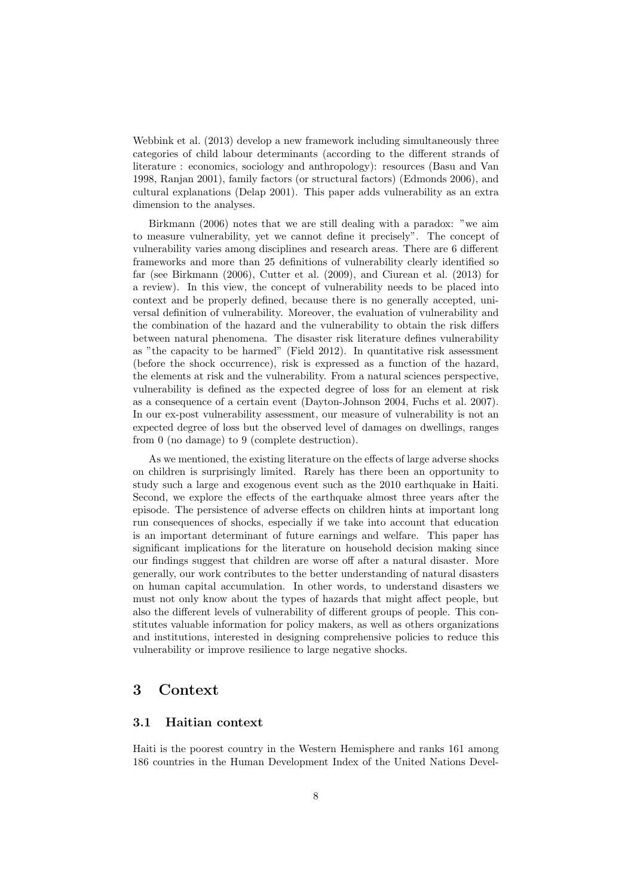[Webbink et al.](#page-26-5) [\(2013\)](#page-26-5) develop a new framework including simultaneously three categories of child labour determinants (according to the different strands of literature : economics, sociology and anthropology): resources [\(Basu and Van](#page-22-7) [1998,](#page-22-7) [Ranjan 2001\)](#page-25-7), family factors (or structural factors) [\(Edmonds 2006\)](#page-24-10), and cultural explanations [\(Delap 2001\)](#page-23-12). This paper adds vulnerability as an extra dimension to the analyses.

[Birkmann](#page-22-13) [\(2006\)](#page-22-13) notes that we are still dealing with a paradox: "we aim to measure vulnerability, yet we cannot define it precisely". The concept of vulnerability varies among disciplines and research areas. There are 6 different frameworks and more than 25 definitions of vulnerability clearly identified so far (see [Birkmann](#page-22-13) [\(2006\)](#page-22-13), [Cutter et al.](#page-23-13) [\(2009\)](#page-23-13), and [Ciurean et al.](#page-23-14) [\(2013\)](#page-23-14) for a review). In this view, the concept of vulnerability needs to be placed into context and be properly defined, because there is no generally accepted, universal definition of vulnerability. Moreover, the evaluation of vulnerability and the combination of the hazard and the vulnerability to obtain the risk differs between natural phenomena. The disaster risk literature defines vulnerability as "the capacity to be harmed" [\(Field 2012\)](#page-24-3). In quantitative risk assessment (before the shock occurrence), risk is expressed as a function of the hazard, the elements at risk and the vulnerability. From a natural sciences perspective, vulnerability is defined as the expected degree of loss for an element at risk as a consequence of a certain event [\(Dayton-Johnson 2004,](#page-23-1) [Fuchs et al. 2007\)](#page-24-11). In our ex-post vulnerability assessment, our measure of vulnerability is not an expected degree of loss but the observed level of damages on dwellings, ranges from 0 (no damage) to 9 (complete destruction).

As we mentioned, the existing literature on the effects of large adverse shocks on children is surprisingly limited. Rarely has there been an opportunity to study such a large and exogenous event such as the 2010 earthquake in Haiti. Second, we explore the effects of the earthquake almost three years after the episode. The persistence of adverse effects on children hints at important long run consequences of shocks, especially if we take into account that education is an important determinant of future earnings and welfare. This paper has significant implications for the literature on household decision making since our findings suggest that children are worse off after a natural disaster. More generally, our work contributes to the better understanding of natural disasters on human capital accumulation. In other words, to understand disasters we must not only know about the types of hazards that might affect people, but also the different levels of vulnerability of different groups of people. This constitutes valuable information for policy makers, as well as others organizations and institutions, interested in designing comprehensive policies to reduce this vulnerability or improve resilience to large negative shocks.

## 3 Context

#### 3.1 Haitian context

Haiti is the poorest country in the Western Hemisphere and ranks 161 among 186 countries in the Human Development Index of the United Nations Devel-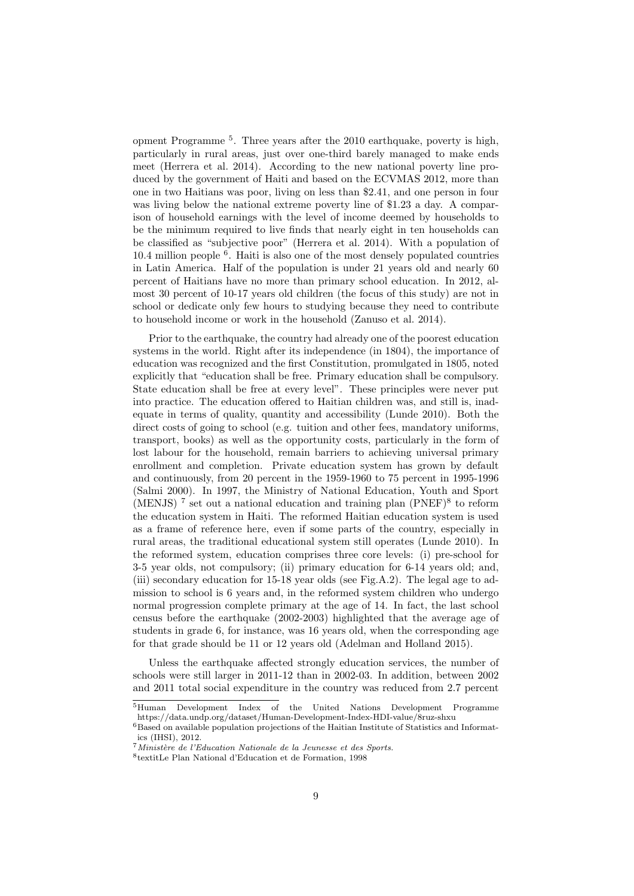opment Programme [5](#page-0-0) . Three years after the 2010 earthquake, poverty is high, particularly in rural areas, just over one-third barely managed to make ends meet [\(Herrera et al. 2014\)](#page-24-5). According to the new national poverty line produced by the government of Haiti and based on the ECVMAS 2012, more than one in two Haitians was poor, living on less than \$2.41, and one person in four was living below the national extreme poverty line of \$1.23 a day. A comparison of household earnings with the level of income deemed by households to be the minimum required to live finds that nearly eight in ten households can be classified as "subjective poor" [\(Herrera et al. 2014\)](#page-24-5). With a population of 10.4 million people [6](#page-0-0) . Haiti is also one of the most densely populated countries in Latin America. Half of the population is under 21 years old and nearly 60 percent of Haitians have no more than primary school education. In 2012, almost 30 percent of 10-17 years old children (the focus of this study) are not in school or dedicate only few hours to studying because they need to contribute to household income or work in the household [\(Zanuso et al. 2014\)](#page-26-0).

Prior to the earthquake, the country had already one of the poorest education systems in the world. Right after its independence (in 1804), the importance of education was recognized and the first Constitution, promulgated in 1805, noted explicitly that "education shall be free. Primary education shall be compulsory. State education shall be free at every level". These principles were never put into practice. The education offered to Haitian children was, and still is, inadequate in terms of quality, quantity and accessibility [\(Lunde 2010\)](#page-25-10). Both the direct costs of going to school (e.g. tuition and other fees, mandatory uniforms, transport, books) as well as the opportunity costs, particularly in the form of lost labour for the household, remain barriers to achieving universal primary enrollment and completion. Private education system has grown by default and continuously, from 20 percent in the 1959-1960 to 75 percent in 1995-1996 [\(Salmi 2000\)](#page-25-11). In 1997, the Ministry of National Education, Youth and Sport (MENJS)<sup>[7](#page-0-0)</sup> set out a national education and training plan (PNEF)<sup>[8](#page-0-0)</sup> to reform the education system in Haiti. The reformed Haitian education system is used as a frame of reference here, even if some parts of the country, especially in rural areas, the traditional educational system still operates [\(Lunde 2010\)](#page-25-10). In the reformed system, education comprises three core levels: (i) pre-school for 3-5 year olds, not compulsory; (ii) primary education for 6-14 years old; and, (iii) secondary education for 15-18 year olds (see Fig[.A.2\)](#page-31-0). The legal age to admission to school is 6 years and, in the reformed system children who undergo normal progression complete primary at the age of 14. In fact, the last school census before the earthquake (2002-2003) highlighted that the average age of students in grade 6, for instance, was 16 years old, when the corresponding age for that grade should be 11 or 12 years old [\(Adelman and Holland 2015\)](#page-22-3).

Unless the earthquake affected strongly education services, the number of schools were still larger in 2011-12 than in 2002-03. In addition, between 2002 and 2011 total social expenditure in the country was reduced from 2.7 percent

<sup>5</sup>Human Development Index of the United Nations Development Programme https://data.undp.org/dataset/Human-Development-Index-HDI-value/8ruz-shxu

 $6$ Based on available population projections of the Haitian Institute of Statistics and Informatics (IHSI), 2012.

 $7$ Ministère de l'Education Nationale de la Jeunesse et des Sports.

<sup>8</sup> textitLe Plan National d'Education et de Formation, 1998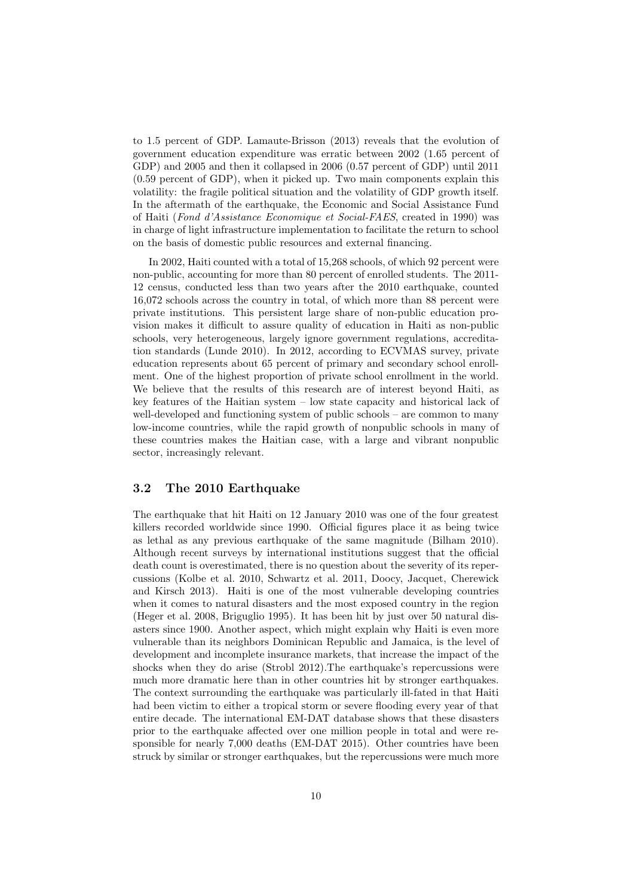to 1.5 percent of GDP. [Lamaute-Brisson](#page-25-12) [\(2013\)](#page-25-12) reveals that the evolution of government education expenditure was erratic between 2002 (1.65 percent of GDP) and 2005 and then it collapsed in 2006 (0.57 percent of GDP) until 2011 (0.59 percent of GDP), when it picked up. Two main components explain this volatility: the fragile political situation and the volatility of GDP growth itself. In the aftermath of the earthquake, the Economic and Social Assistance Fund of Haiti (Fond d'Assistance Economique et Social-FAES, created in 1990) was in charge of light infrastructure implementation to facilitate the return to school on the basis of domestic public resources and external financing.

In 2002, Haiti counted with a total of 15,268 schools, of which 92 percent were non-public, accounting for more than 80 percent of enrolled students. The 2011- 12 census, conducted less than two years after the 2010 earthquake, counted 16,072 schools across the country in total, of which more than 88 percent were private institutions. This persistent large share of non-public education provision makes it difficult to assure quality of education in Haiti as non-public schools, very heterogeneous, largely ignore government regulations, accreditation standards [\(Lunde 2010\)](#page-25-10). In 2012, according to ECVMAS survey, private education represents about 65 percent of primary and secondary school enrollment. One of the highest proportion of private school enrollment in the world. We believe that the results of this research are of interest beyond Haiti, as key features of the Haitian system – low state capacity and historical lack of well-developed and functioning system of public schools – are common to many low-income countries, while the rapid growth of nonpublic schools in many of these countries makes the Haitian case, with a large and vibrant nonpublic sector, increasingly relevant.

#### 3.2 The 2010 Earthquake

The earthquake that hit Haiti on 12 January 2010 was one of the four greatest killers recorded worldwide since 1990. Official figures place it as being twice as lethal as any previous earthquake of the same magnitude [\(Bilham 2010\)](#page-22-14). Although recent surveys by international institutions suggest that the official death count is overestimated, there is no question about the severity of its repercussions [\(Kolbe et al. 2010,](#page-25-13) [Schwartz et al. 2011,](#page-26-6) [Doocy, Jacquet, Cherewick](#page-24-12) [and Kirsch 2013\)](#page-24-12). Haiti is one of the most vulnerable developing countries when it comes to natural disasters and the most exposed country in the region [\(Heger et al. 2008,](#page-24-0) [Briguglio 1995\)](#page-23-15). It has been hit by just over 50 natural disasters since 1900. Another aspect, which might explain why Haiti is even more vulnerable than its neighbors Dominican Republic and Jamaica, is the level of development and incomplete insurance markets, that increase the impact of the shocks when they do arise [\(Strobl 2012\)](#page-26-7).The earthquake's repercussions were much more dramatic here than in other countries hit by stronger earthquakes. The context surrounding the earthquake was particularly ill-fated in that Haiti had been victim to either a tropical storm or severe flooding every year of that entire decade. The international EM-DAT database shows that these disasters prior to the earthquake affected over one million people in total and were responsible for nearly 7,000 deaths [\(EM-DAT 2015\)](#page-24-2). Other countries have been struck by similar or stronger earthquakes, but the repercussions were much more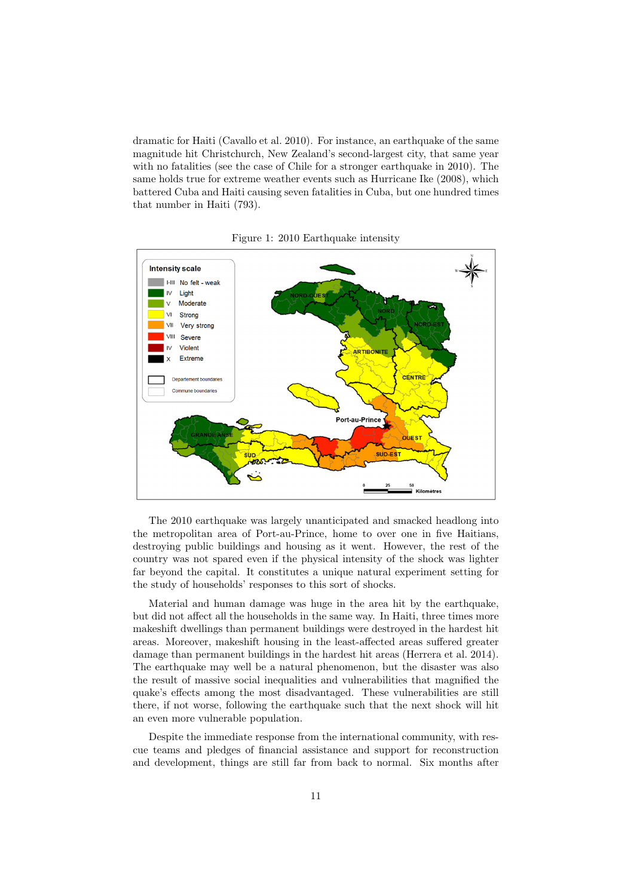dramatic for Haiti [\(Cavallo et al. 2010\)](#page-23-7). For instance, an earthquake of the same magnitude hit Christchurch, New Zealand's second-largest city, that same year with no fatalities (see the case of Chile for a stronger earthquake in 2010). The same holds true for extreme weather events such as Hurricane Ike (2008), which battered Cuba and Haiti causing seven fatalities in Cuba, but one hundred times that number in Haiti (793).



Figure 1: 2010 Earthquake intensity

The 2010 earthquake was largely unanticipated and smacked headlong into the metropolitan area of Port-au-Prince, home to over one in five Haitians, destroying public buildings and housing as it went. However, the rest of the country was not spared even if the physical intensity of the shock was lighter far beyond the capital. It constitutes a unique natural experiment setting for the study of households' responses to this sort of shocks.

Material and human damage was huge in the area hit by the earthquake, but did not affect all the households in the same way. In Haiti, three times more makeshift dwellings than permanent buildings were destroyed in the hardest hit areas. Moreover, makeshift housing in the least-affected areas suffered greater damage than permanent buildings in the hardest hit areas [\(Herrera et al. 2014\)](#page-24-5). The earthquake may well be a natural phenomenon, but the disaster was also the result of massive social inequalities and vulnerabilities that magnified the quake's effects among the most disadvantaged. These vulnerabilities are still there, if not worse, following the earthquake such that the next shock will hit an even more vulnerable population.

Despite the immediate response from the international community, with rescue teams and pledges of financial assistance and support for reconstruction and development, things are still far from back to normal. Six months after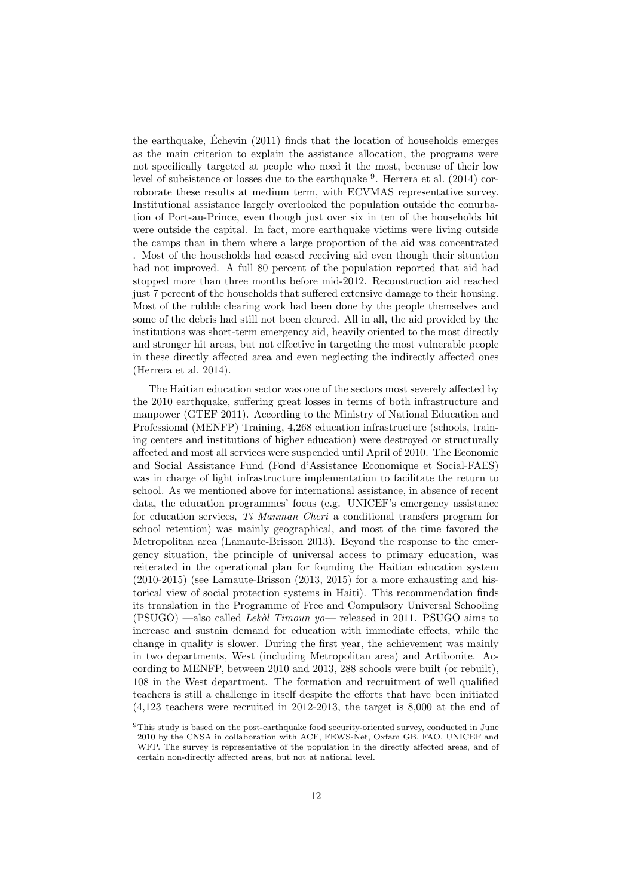the earthquake, [Echevin](#page-24-4) [\(2011\)](#page-24-4) finds that the location of households emerges ´ as the main criterion to explain the assistance allocation, the programs were not specifically targeted at people who need it the most, because of their low level of subsistence or losses due to the earthquake <sup>[9](#page-0-0)</sup>. [Herrera et al.](#page-24-5) [\(2014\)](#page-24-5) corroborate these results at medium term, with ECVMAS representative survey. Institutional assistance largely overlooked the population outside the conurbation of Port-au-Prince, even though just over six in ten of the households hit were outside the capital. In fact, more earthquake victims were living outside the camps than in them where a large proportion of the aid was concentrated . Most of the households had ceased receiving aid even though their situation had not improved. A full 80 percent of the population reported that aid had stopped more than three months before mid-2012. Reconstruction aid reached just 7 percent of the households that suffered extensive damage to their housing. Most of the rubble clearing work had been done by the people themselves and some of the debris had still not been cleared. All in all, the aid provided by the institutions was short-term emergency aid, heavily oriented to the most directly and stronger hit areas, but not effective in targeting the most vulnerable people in these directly affected area and even neglecting the indirectly affected ones [\(Herrera et al. 2014\)](#page-24-5).

The Haitian education sector was one of the sectors most severely affected by the 2010 earthquake, suffering great losses in terms of both infrastructure and manpower [\(GTEF 2011\)](#page-24-13). According to the Ministry of National Education and Professional (MENFP) Training, 4,268 education infrastructure (schools, training centers and institutions of higher education) were destroyed or structurally affected and most all services were suspended until April of 2010. The Economic and Social Assistance Fund (Fond d'Assistance Economique et Social-FAES) was in charge of light infrastructure implementation to facilitate the return to school. As we mentioned above for international assistance, in absence of recent data, the education programmes' focus (e.g. UNICEF's emergency assistance for education services, Ti Manman Cheri a conditional transfers program for school retention) was mainly geographical, and most of the time favored the Metropolitan area [\(Lamaute-Brisson 2013\)](#page-25-12). Beyond the response to the emergency situation, the principle of universal access to primary education, was reiterated in the operational plan for founding the Haitian education system  $(2010-2015)$  (see [Lamaute-Brisson](#page-25-12)  $(2013, 2015)$  $(2013, 2015)$ ) for a more exhausting and historical view of social protection systems in Haiti). This recommendation finds its translation in the Programme of Free and Compulsory Universal Schooling  $(PSUGO)$  —also called *Lekol Timoun yo*— released in 2011. PSUGO aims to increase and sustain demand for education with immediate effects, while the change in quality is slower. During the first year, the achievement was mainly in two departments, West (including Metropolitan area) and Artibonite. According to MENFP, between 2010 and 2013, 288 schools were built (or rebuilt), 108 in the West department. The formation and recruitment of well qualified teachers is still a challenge in itself despite the efforts that have been initiated (4,123 teachers were recruited in 2012-2013, the target is 8,000 at the end of

 $9$ This study is based on the post-earthquake food security-oriented survey, conducted in June 2010 by the CNSA in collaboration with ACF, FEWS-Net, Oxfam GB, FAO, UNICEF and WFP. The survey is representative of the population in the directly affected areas, and of certain non-directly affected areas, but not at national level.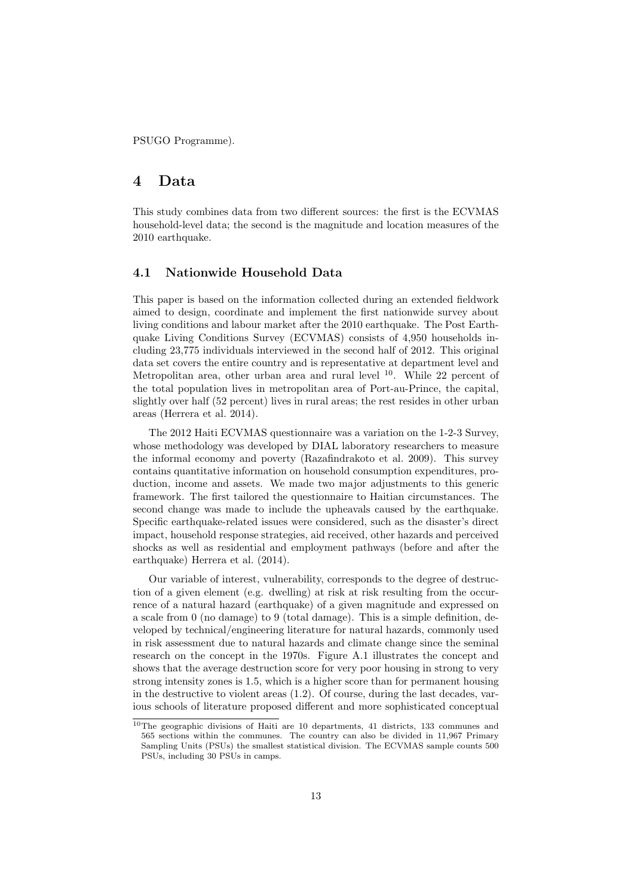PSUGO Programme).

## 4 Data

This study combines data from two different sources: the first is the ECVMAS household-level data; the second is the magnitude and location measures of the 2010 earthquake.

#### 4.1 Nationwide Household Data

This paper is based on the information collected during an extended fieldwork aimed to design, coordinate and implement the first nationwide survey about living conditions and labour market after the 2010 earthquake. The Post Earthquake Living Conditions Survey (ECVMAS) consists of 4,950 households including 23,775 individuals interviewed in the second half of 2012. This original data set covers the entire country and is representative at department level and Metropolitan area, other urban area and rural level  $10$ . While 22 percent of the total population lives in metropolitan area of Port-au-Prince, the capital, slightly over half (52 percent) lives in rural areas; the rest resides in other urban areas [\(Herrera et al. 2014\)](#page-24-5).

The 2012 Haiti ECVMAS questionnaire was a variation on the 1-2-3 Survey, whose methodology was developed by DIAL laboratory researchers to measure the informal economy and poverty [\(Razafindrakoto et al. 2009\)](#page-25-15). This survey contains quantitative information on household consumption expenditures, production, income and assets. We made two major adjustments to this generic framework. The first tailored the questionnaire to Haitian circumstances. The second change was made to include the upheavals caused by the earthquake. Specific earthquake-related issues were considered, such as the disaster's direct impact, household response strategies, aid received, other hazards and perceived shocks as well as residential and employment pathways (before and after the earthquake) [Herrera et al.](#page-24-5) [\(2014\)](#page-24-5).

Our variable of interest, vulnerability, corresponds to the degree of destruction of a given element (e.g. dwelling) at risk at risk resulting from the occurrence of a natural hazard (earthquake) of a given magnitude and expressed on a scale from 0 (no damage) to 9 (total damage). This is a simple definition, developed by technical/engineering literature for natural hazards, commonly used in risk assessment due to natural hazards and climate change since the seminal research on the concept in the 1970s. Figure A.1 illustrates the concept and shows that the average destruction score for very poor housing in strong to very strong intensity zones is 1.5, which is a higher score than for permanent housing in the destructive to violent areas (1.2). Of course, during the last decades, various schools of literature proposed different and more sophisticated conceptual

 $10$ The geographic divisions of Haiti are 10 departments, 41 districts, 133 communes and 565 sections within the communes. The country can also be divided in 11,967 Primary Sampling Units (PSUs) the smallest statistical division. The ECVMAS sample counts 500 PSUs, including 30 PSUs in camps.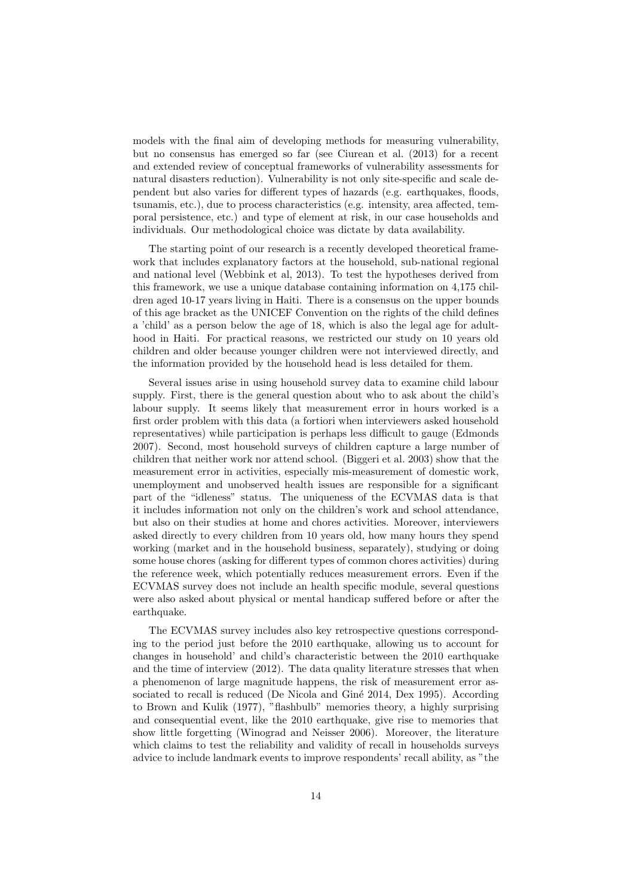models with the final aim of developing methods for measuring vulnerability, but no consensus has emerged so far (see [Ciurean et al.](#page-23-14) [\(2013\)](#page-23-14) for a recent and extended review of conceptual frameworks of vulnerability assessments for natural disasters reduction). Vulnerability is not only site-specific and scale dependent but also varies for different types of hazards (e.g. earthquakes, floods, tsunamis, etc.), due to process characteristics (e.g. intensity, area affected, temporal persistence, etc.) and type of element at risk, in our case households and individuals. Our methodological choice was dictate by data availability.

The starting point of our research is a recently developed theoretical framework that includes explanatory factors at the household, sub-national regional and national level (Webbink et al, 2013). To test the hypotheses derived from this framework, we use a unique database containing information on 4,175 children aged 10-17 years living in Haiti. There is a consensus on the upper bounds of this age bracket as the UNICEF Convention on the rights of the child defines a 'child' as a person below the age of 18, which is also the legal age for adulthood in Haiti. For practical reasons, we restricted our study on 10 years old children and older because younger children were not interviewed directly, and the information provided by the household head is less detailed for them.

Several issues arise in using household survey data to examine child labour supply. First, there is the general question about who to ask about the child's labour supply. It seems likely that measurement error in hours worked is a first order problem with this data (a fortiori when interviewers asked household representatives) while participation is perhaps less difficult to gauge [\(Edmonds](#page-24-6) [2007\)](#page-24-6). Second, most household surveys of children capture a large number of children that neither work nor attend school. [\(Biggeri et al. 2003\)](#page-22-15) show that the measurement error in activities, especially mis-measurement of domestic work, unemployment and unobserved health issues are responsible for a significant part of the "idleness" status. The uniqueness of the ECVMAS data is that it includes information not only on the children's work and school attendance, but also on their studies at home and chores activities. Moreover, interviewers asked directly to every children from 10 years old, how many hours they spend working (market and in the household business, separately), studying or doing some house chores (asking for different types of common chores activities) during the reference week, which potentially reduces measurement errors. Even if the ECVMAS survey does not include an health specific module, several questions were also asked about physical or mental handicap suffered before or after the earthquake.

The ECVMAS survey includes also key retrospective questions corresponding to the period just before the 2010 earthquake, allowing us to account for changes in household' and child's characteristic between the 2010 earthquake and the time of interview (2012). The data quality literature stresses that when a phenomenon of large magnitude happens, the risk of measurement error as-sociated to recall is reduced (De Nicola and Giné 2014, [Dex 1995\)](#page-23-3). According to [Brown and Kulik](#page-23-4) [\(1977\)](#page-23-4), "flashbulb" memories theory, a highly surprising and consequential event, like the 2010 earthquake, give rise to memories that show little forgetting [\(Winograd and Neisser 2006\)](#page-26-1). Moreover, the literature which claims to test the reliability and validity of recall in households surveys advice to include landmark events to improve respondents' recall ability, as "the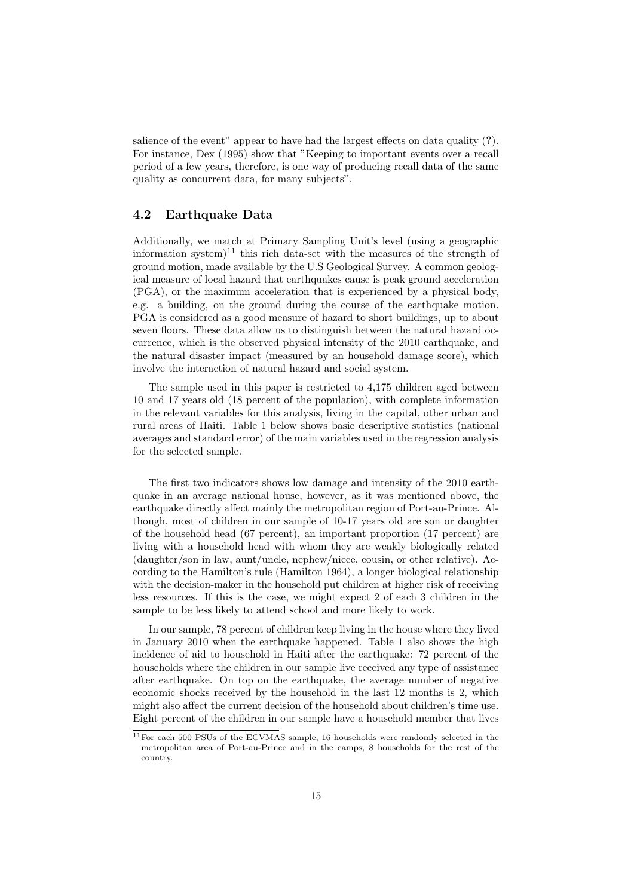salience of the event" appear to have had the largest effects on data quality (?). For instance, [Dex](#page-23-3) [\(1995\)](#page-23-3) show that "Keeping to important events over a recall period of a few years, therefore, is one way of producing recall data of the same quality as concurrent data, for many subjects".

#### 4.2 Earthquake Data

Additionally, we match at Primary Sampling Unit's level (using a geographic information system)<sup>[11](#page-0-0)</sup> this rich data-set with the measures of the strength of ground motion, made available by the U.S Geological Survey. A common geological measure of local hazard that earthquakes cause is peak ground acceleration (PGA), or the maximum acceleration that is experienced by a physical body, e.g. a building, on the ground during the course of the earthquake motion. PGA is considered as a good measure of hazard to short buildings, up to about seven floors. These data allow us to distinguish between the natural hazard occurrence, which is the observed physical intensity of the 2010 earthquake, and the natural disaster impact (measured by an household damage score), which involve the interaction of natural hazard and social system.

The sample used in this paper is restricted to 4,175 children aged between 10 and 17 years old (18 percent of the population), with complete information in the relevant variables for this analysis, living in the capital, other urban and rural areas of Haiti. Table [1](#page-15-0) below shows basic descriptive statistics (national averages and standard error) of the main variables used in the regression analysis for the selected sample.

The first two indicators shows low damage and intensity of the 2010 earthquake in an average national house, however, as it was mentioned above, the earthquake directly affect mainly the metropolitan region of Port-au-Prince. Although, most of children in our sample of 10-17 years old are son or daughter of the household head (67 percent), an important proportion (17 percent) are living with a household head with whom they are weakly biologically related (daughter/son in law, aunt/uncle, nephew/niece, cousin, or other relative). According to the Hamilton's rule [\(Hamilton 1964\)](#page-24-14), a longer biological relationship with the decision-maker in the household put children at higher risk of receiving less resources. If this is the case, we might expect 2 of each 3 children in the sample to be less likely to attend school and more likely to work.

In our sample, 78 percent of children keep living in the house where they lived in January 2010 when the earthquake happened. Table 1 also shows the high incidence of aid to household in Haiti after the earthquake: 72 percent of the households where the children in our sample live received any type of assistance after earthquake. On top on the earthquake, the average number of negative economic shocks received by the household in the last 12 months is 2, which might also affect the current decision of the household about children's time use. Eight percent of the children in our sample have a household member that lives

<sup>11</sup>For each 500 PSUs of the ECVMAS sample, 16 households were randomly selected in the metropolitan area of Port-au-Prince and in the camps, 8 households for the rest of the country.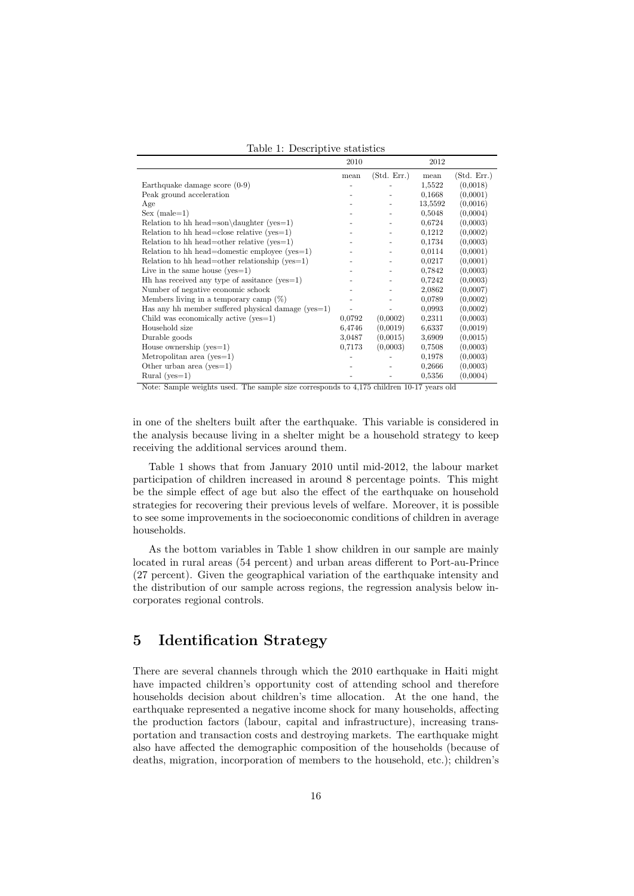<span id="page-15-0"></span>Table 1: Descriptive statistics

|                                                      | 2010   |             | 2012    |             |
|------------------------------------------------------|--------|-------------|---------|-------------|
|                                                      | mean   | (Std. Err.) | mean    | (Std. Err.) |
| Earthquake damage score $(0-9)$                      |        |             | 1,5522  | (0,0018)    |
| Peak ground acceleration                             |        |             | 0,1668  | (0,0001)    |
| Age                                                  |        |             | 13,5592 | (0,0016)    |
| $Sex (male=1)$                                       |        |             | 0,5048  | (0,0004)    |
| Relation to hh head=son\daughter (yes=1)             |        |             | 0.6724  | (0,0003)    |
| Relation to hh head=close relative $(yes=1)$         |        |             | 0,1212  | (0,0002)    |
| Relation to hh head=other relative $(yes=1)$         |        |             | 0,1734  | (0,0003)    |
| Relation to hh head=domestic employee ( $yes=1$ )    |        |             | 0,0114  | (0,0001)    |
| Relation to hh head=other relationship ( $yes=1$ )   |        |             | 0.0217  | (0.0001)    |
| Live in the same house $(yes=1)$                     |        |             | 0.7842  | (0,0003)    |
| $Hh$ has received any type of assitance (yes = 1)    |        |             | 0,7242  | (0,0003)    |
| Number of negative economic schock                   |        |             | 2,0862  | (0.0007)    |
| Members living in a temporary camp $(\%)$            |        |             | 0,0789  | (0,0002)    |
| Has any hh member suffered physical damage $(yes=1)$ |        |             | 0.0993  | (0.0002)    |
| Child was economically active $(yes=1)$              | 0,0792 | (0,0002)    | 0,2311  | (0,0003)    |
| Household size                                       | 6,4746 | (0.0019)    | 6.6337  | (0.0019)    |
| Durable goods                                        | 3,0487 | (0.0015)    | 3,6909  | (0,0015)    |
| House ownership $(yes=1)$                            | 0.7173 | (0,0003)    | 0,7508  | (0,0003)    |
| Metropolitan area (yes= $1$ )                        |        |             | 0,1978  | (0,0003)    |
| Other urban area (yes= $1$ )                         |        |             | 0,2666  | (0,0003)    |
| Rural ( $yes=1$ )                                    |        |             | 0,5356  | (0,0004)    |

Note: Sample weights used. The sample size corresponds to 4,175 children 10-17 years old

in one of the shelters built after the earthquake. This variable is considered in the analysis because living in a shelter might be a household strategy to keep receiving the additional services around them.

Table 1 shows that from January 2010 until mid-2012, the labour market participation of children increased in around 8 percentage points. This might be the simple effect of age but also the effect of the earthquake on household strategies for recovering their previous levels of welfare. Moreover, it is possible to see some improvements in the socioeconomic conditions of children in average households.

As the bottom variables in Table 1 show children in our sample are mainly located in rural areas (54 percent) and urban areas different to Port-au-Prince (27 percent). Given the geographical variation of the earthquake intensity and the distribution of our sample across regions, the regression analysis below incorporates regional controls.

## 5 Identification Strategy

There are several channels through which the 2010 earthquake in Haiti might have impacted children's opportunity cost of attending school and therefore households decision about children's time allocation. At the one hand, the earthquake represented a negative income shock for many households, affecting the production factors (labour, capital and infrastructure), increasing transportation and transaction costs and destroying markets. The earthquake might also have affected the demographic composition of the households (because of deaths, migration, incorporation of members to the household, etc.); children's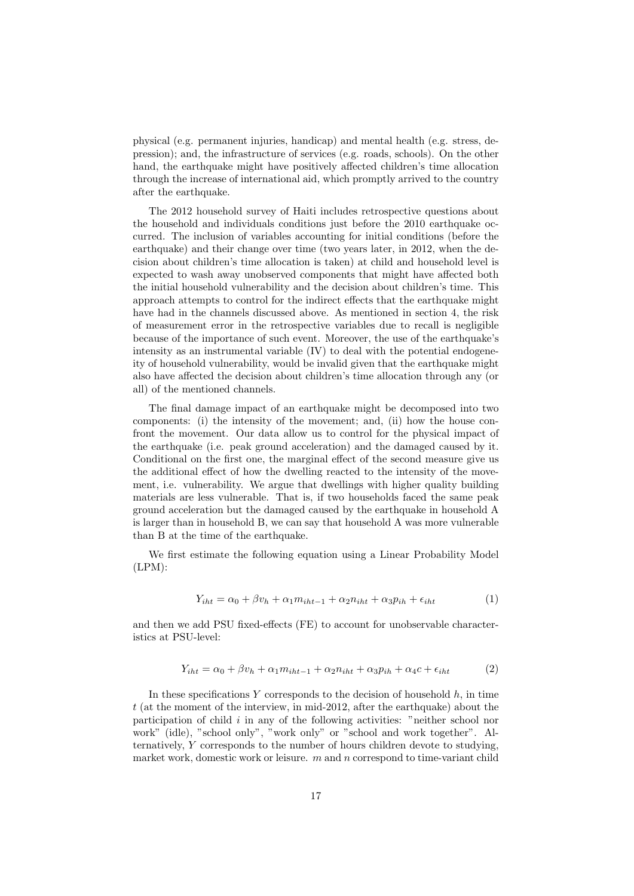physical (e.g. permanent injuries, handicap) and mental health (e.g. stress, depression); and, the infrastructure of services (e.g. roads, schools). On the other hand, the earthquake might have positively affected children's time allocation through the increase of international aid, which promptly arrived to the country after the earthquake.

The 2012 household survey of Haiti includes retrospective questions about the household and individuals conditions just before the 2010 earthquake occurred. The inclusion of variables accounting for initial conditions (before the earthquake) and their change over time (two years later, in 2012, when the decision about children's time allocation is taken) at child and household level is expected to wash away unobserved components that might have affected both the initial household vulnerability and the decision about children's time. This approach attempts to control for the indirect effects that the earthquake might have had in the channels discussed above. As mentioned in section 4, the risk of measurement error in the retrospective variables due to recall is negligible because of the importance of such event. Moreover, the use of the earthquake's intensity as an instrumental variable (IV) to deal with the potential endogeneity of household vulnerability, would be invalid given that the earthquake might also have affected the decision about children's time allocation through any (or all) of the mentioned channels.

The final damage impact of an earthquake might be decomposed into two components: (i) the intensity of the movement; and, (ii) how the house confront the movement. Our data allow us to control for the physical impact of the earthquake (i.e. peak ground acceleration) and the damaged caused by it. Conditional on the first one, the marginal effect of the second measure give us the additional effect of how the dwelling reacted to the intensity of the movement, i.e. vulnerability. We argue that dwellings with higher quality building materials are less vulnerable. That is, if two households faced the same peak ground acceleration but the damaged caused by the earthquake in household A is larger than in household B, we can say that household A was more vulnerable than B at the time of the earthquake.

We first estimate the following equation using a Linear Probability Model  $(LPM):$ 

$$
Y_{iht} = \alpha_0 + \beta v_h + \alpha_1 m_{iht-1} + \alpha_2 n_{iht} + \alpha_3 p_{ih} + \epsilon_{iht}
$$
 (1)

and then we add PSU fixed-effects (FE) to account for unobservable characteristics at PSU-level:

$$
Y_{iht} = \alpha_0 + \beta v_h + \alpha_1 m_{iht-1} + \alpha_2 n_{iht} + \alpha_3 p_{ih} + \alpha_4 c + \epsilon_{iht} \tag{2}
$$

In these specifications  $Y$  corresponds to the decision of household  $h$ , in time t (at the moment of the interview, in mid-2012, after the earthquake) about the participation of child  $i$  in any of the following activities: "neither school nor work" (idle), "school only", "work only" or "school and work together". Alternatively, Y corresponds to the number of hours children devote to studying, market work, domestic work or leisure.  $m$  and  $n$  correspond to time-variant child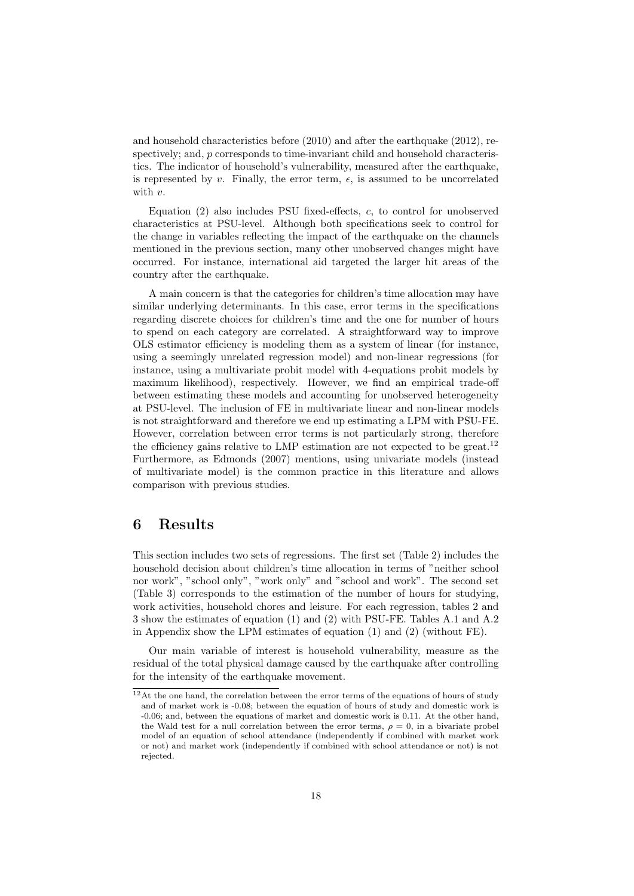and household characteristics before (2010) and after the earthquake (2012), respectively; and, p corresponds to time-invariant child and household characteristics. The indicator of household's vulnerability, measured after the earthquake, is represented by v. Finally, the error term,  $\epsilon$ , is assumed to be uncorrelated with  $v$ .

Equation (2) also includes PSU fixed-effects, c, to control for unobserved characteristics at PSU-level. Although both specifications seek to control for the change in variables reflecting the impact of the earthquake on the channels mentioned in the previous section, many other unobserved changes might have occurred. For instance, international aid targeted the larger hit areas of the country after the earthquake.

A main concern is that the categories for children's time allocation may have similar underlying determinants. In this case, error terms in the specifications regarding discrete choices for children's time and the one for number of hours to spend on each category are correlated. A straightforward way to improve OLS estimator efficiency is modeling them as a system of linear (for instance, using a seemingly unrelated regression model) and non-linear regressions (for instance, using a multivariate probit model with 4-equations probit models by maximum likelihood), respectively. However, we find an empirical trade-off between estimating these models and accounting for unobserved heterogeneity at PSU-level. The inclusion of FE in multivariate linear and non-linear models is not straightforward and therefore we end up estimating a LPM with PSU-FE. However, correlation between error terms is not particularly strong, therefore the efficiency gains relative to LMP estimation are not expected to be great.<sup>[12](#page-0-0)</sup> Furthermore, as [Edmonds](#page-24-6) [\(2007\)](#page-24-6) mentions, using univariate models (instead of multivariate model) is the common practice in this literature and allows comparison with previous studies.

### 6 Results

This section includes two sets of regressions. The first set (Table [2\)](#page-19-0) includes the household decision about children's time allocation in terms of "neither school nor work", "school only", "work only" and "school and work". The second set (Table [3\)](#page-20-0) corresponds to the estimation of the number of hours for studying, work activities, household chores and leisure. For each regression, tables [2](#page-19-0) and [3](#page-20-0) show the estimates of equation (1) and (2) with PSU-FE. Tables [A.1](#page-27-0) and [A.2](#page-28-0) in Appendix show the LPM estimates of equation  $(1)$  and  $(2)$  (without FE).

Our main variable of interest is household vulnerability, measure as the residual of the total physical damage caused by the earthquake after controlling for the intensity of the earthquake movement.

 $12$ At the one hand, the correlation between the error terms of the equations of hours of study and of market work is -0.08; between the equation of hours of study and domestic work is -0.06; and, between the equations of market and domestic work is 0.11. At the other hand, the Wald test for a null correlation between the error terms,  $\rho = 0$ , in a bivariate probel model of an equation of school attendance (independently if combined with market work or not) and market work (independently if combined with school attendance or not) is not rejected.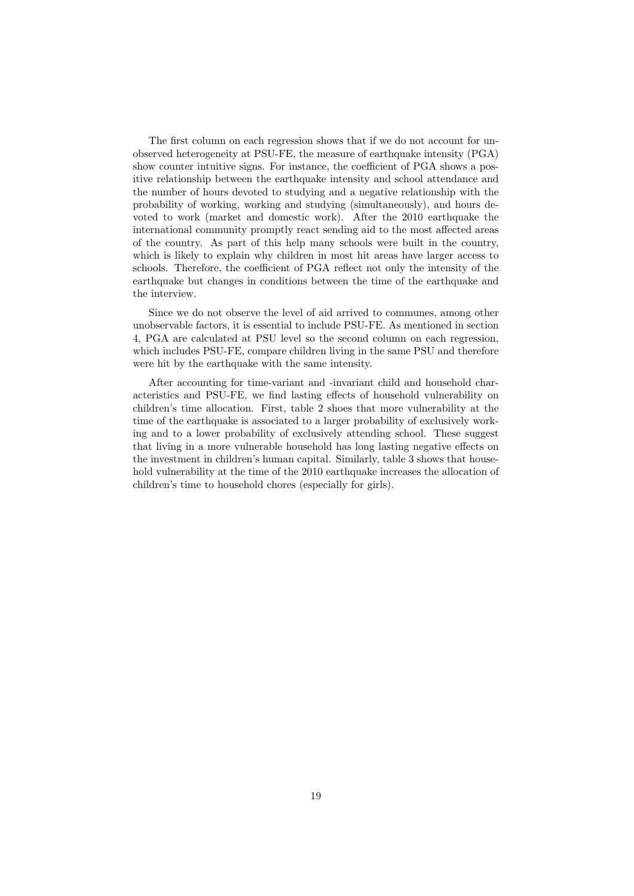The first column on each regression shows that if we do not account for unobserved heterogeneity at PSU-FE, the measure of earthquake intensity (PGA) show counter intuitive signs. For instance, the coefficient of PGA shows a positive relationship between the earthquake intensity and school attendance and the number of hours devoted to studying and a negative relationship with the probability of working, working and studying (simultaneously), and hours devoted to work (market and domestic work). After the 2010 earthquake the international community promptly react sending aid to the most affected areas of the country. As part of this help many schools were built in the country, which is likely to explain why children in most hit areas have larger access to schools. Therefore, the coefficient of PGA reflect not only the intensity of the earthquake but changes in conditions between the time of the earthquake and the interview.

Since we do not observe the level of aid arrived to communes, among other unobservable factors, it is essential to include PSU-FE. As mentioned in section 4, PGA are calculated at PSU level so the second column on each regression, which includes PSU-FE, compare children living in the same PSU and therefore were hit by the earthquake with the same intensity.

After accounting for time-variant and -invariant child and household characteristics and PSU-FE, we find lasting effects of household vulnerability on children's time allocation. First, table [2](#page-19-0) shoes that more vulnerability at the time of the earthquake is associated to a larger probability of exclusively working and to a lower probability of exclusively attending school. These suggest that living in a more vulnerable household has long lasting negative effects on the investment in children's human capital. Similarly, table [3](#page-20-0) shows that household vulnerability at the time of the 2010 earthquake increases the allocation of children's time to household chores (especially for girls).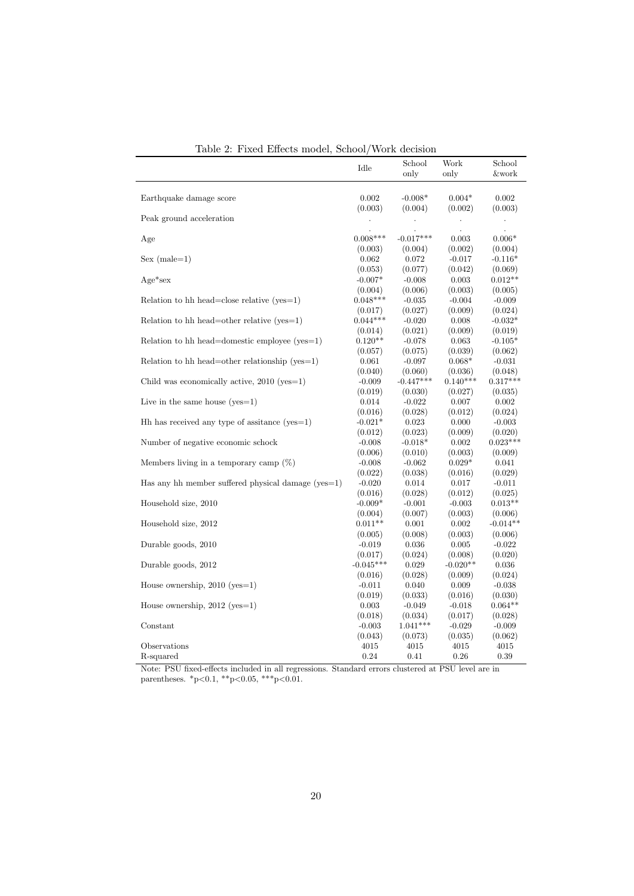|                                                      | Idle                 | School           | Work                 | School               |
|------------------------------------------------------|----------------------|------------------|----------------------|----------------------|
|                                                      |                      | only             | only                 | &work                |
|                                                      |                      |                  |                      |                      |
| Earthquake damage score                              | 0.002                | $-0.008*$        | $0.004*$             | 0.002                |
|                                                      | (0.003)              | (0.004)          | (0.002)              | (0.003)              |
| Peak ground acceleration                             | $\ddot{\phantom{0}}$ |                  | $\ddot{\phantom{0}}$ |                      |
|                                                      |                      |                  |                      | $\blacksquare$       |
| Age                                                  | $0.008***$           | $-0.017***$      | 0.003                | $0.006*$             |
|                                                      |                      |                  |                      |                      |
| $Sex (male=1)$                                       | (0.003)<br>0.062     | (0.004)<br>0.072 | (0.002)<br>$-0.017$  | (0.004)<br>$-0.116*$ |
|                                                      |                      |                  |                      |                      |
|                                                      | (0.053)              | (0.077)          | (0.042)              | (0.069)              |
| $Age*sex$                                            | $-0.007*$            | $-0.008$         | 0.003                | $0.012**$            |
|                                                      | (0.004)              | (0.006)          | (0.003)              | (0.005)              |
| Relation to hh head=close relative $(yes=1)$         | $0.048***$           | $-0.035$         | $-0.004$             | $-0.009$             |
|                                                      | (0.017)              | (0.027)          | (0.009)              | (0.024)              |
| Relation to hh head=other relative $(yes=1)$         | $0.044***$           | $-0.020$         | 0.008                | $-0.032*$            |
|                                                      | (0.014)              | (0.021)          | (0.009)              | (0.019)              |
| Relation to hh head=domestic employee ( $yes=1$ )    | $0.120**$            | $-0.078$         | 0.063                | $-0.105*$            |
|                                                      | (0.057)              | (0.075)          | (0.039)              | (0.062)              |
| Relation to hh head=other relationship ( $yes=1$ )   | 0.061                | $-0.097$         | $0.068*$             | $-0.031$             |
|                                                      | (0.040)              | (0.060)          | (0.036)              | (0.048)              |
| Child was economically active, $2010$ (yes=1)        | $-0.009$             | $-0.447***$      | $0.140***$           | $0.317***$           |
|                                                      | (0.019)              | (0.030)          | (0.027)              | (0.035)              |
| Live in the same house $(yes=1)$                     | 0.014                | $-0.022$         | 0.007                | 0.002                |
|                                                      | (0.016)              | (0.028)          | (0.012)              | (0.024)              |
| $Hh$ has received any type of assitance (yes = 1)    | $-0.021*$            | 0.023            | 0.000                | $-0.003$             |
|                                                      | (0.012)              | (0.023)          | (0.009)              | (0.020)              |
| Number of negative economic schock                   | $-0.008$             | $-0.018*$        | 0.002                | $0.023***$           |
|                                                      | (0.006)              | (0.010)          | (0.003)              | (0.009)              |
| Members living in a temporary camp $(\%)$            | $-0.008$             | $-0.062$         | $0.029*$             | 0.041                |
|                                                      | (0.022)              | (0.038)          | (0.016)              | (0.029)              |
| Has any hh member suffered physical damage $(yes=1)$ | $-0.020$             | 0.014            | 0.017                | $-0.011$             |
|                                                      | (0.016)              | (0.028)          | (0.012)              | (0.025)              |
| Household size, 2010                                 | $-0.009*$            |                  | $-0.003$             | $0.013**$            |
|                                                      |                      | $-0.001$         |                      |                      |
|                                                      | (0.004)              | (0.007)          | (0.003)              | (0.006)              |
| Household size, 2012                                 | $0.011**$            | 0.001            | 0.002                | $-0.014**$           |
|                                                      | (0.005)              | (0.008)          | (0.003)              | (0.006)              |
| Durable goods, 2010                                  | $-0.019$             | 0.036            | 0.005                | $-0.022$             |
|                                                      | (0.017)              | (0.024)          | (0.008)              | (0.020)              |
| Durable goods, 2012                                  | $-0.045***$          | 0.029            | $-0.020**$           | 0.036                |
|                                                      | (0.016)              | (0.028)          | (0.009)              | (0.024)              |
| House ownership, $2010$ (yes=1)                      | $-0.011$             | 0.040            | 0.009                | $-0.038$             |
|                                                      | (0.019)              | (0.033)          | (0.016)              | (0.030)              |
| House ownership, $2012$ (yes=1)                      | 0.003                | $-0.049$         | $-0.018$             | $0.064**$            |
|                                                      | (0.018)              | (0.034)          | (0.017)              | (0.028)              |
| Constant                                             | $-0.003$             | $1.041***$       | $-0.029$             | $-0.009$             |
|                                                      | (0.043)              | (0.073)          | (0.035)              | (0.062)              |
| Observations                                         | 4015                 | 4015             | 4015                 | 4015                 |
| R-squared                                            | 0.24                 | 0.41             | 0.26                 | 0.39                 |

<span id="page-19-0"></span>Table 2: Fixed Effects model, School/Work decision

Note: PSU fixed-effects included in all regressions. Standard errors clustered at PSU level are in parentheses.  $*_{p<0.1}$ ,  $*_{p<0.05}$ ,  $*_{p<0.01}$ .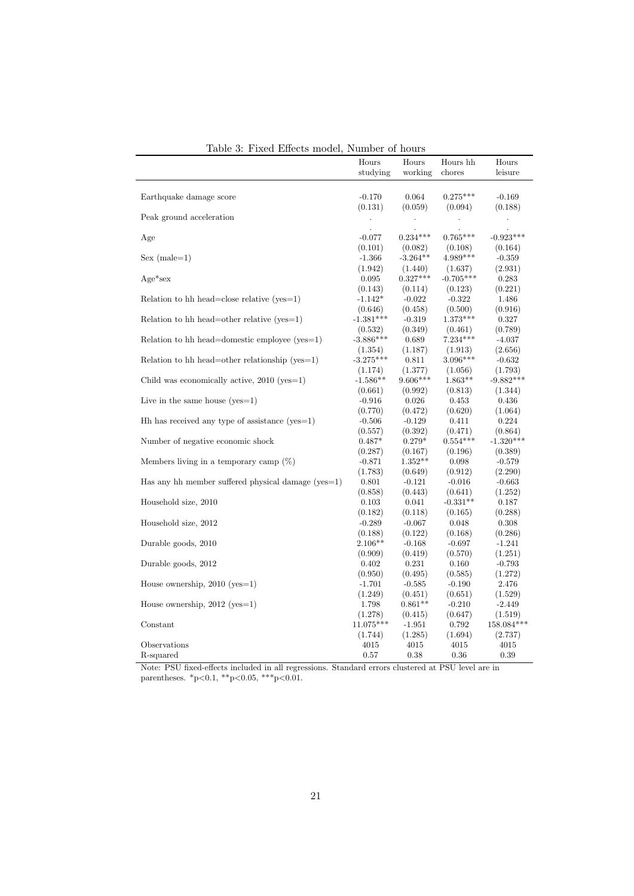| ravic v.<br><b>T</b> TVOT DITCOM HIGAGE,<br>Trainon or nome |                      |            |                      |                |  |
|-------------------------------------------------------------|----------------------|------------|----------------------|----------------|--|
|                                                             | Hours                | Hours      | Hours hh             | Hours          |  |
|                                                             | studying             | working    | chores               | leisure        |  |
|                                                             |                      |            |                      |                |  |
| Earthquake damage score                                     | $-0.170$             | 0.064      | $0.275***$           | $-0.169$       |  |
|                                                             |                      |            |                      |                |  |
|                                                             | (0.131)              | (0.059)    | (0.094)              | (0.188)        |  |
| Peak ground acceleration                                    | $\ddot{\phantom{a}}$ | $\bullet$  | $\ddot{\phantom{0}}$ | $\blacksquare$ |  |
|                                                             | $\cdot$              | $\cdot$    |                      |                |  |
| Age                                                         | $-0.077$             | $0.234***$ | $0.765***$           | $-0.923***$    |  |
|                                                             | (0.101)              | (0.082)    | (0.108)              | (0.164)        |  |
| $Sex (male=1)$                                              | $-1.366$             | $-3.264**$ | 4.989***             | $-0.359$       |  |
|                                                             | (1.942)              | (1.440)    | (1.637)              | (2.931)        |  |
| $Age*sex$                                                   | 0.095                | $0.327***$ | $-0.705***$          | 0.283          |  |
|                                                             | (0.143)              | (0.114)    | (0.123)              | (0.221)        |  |
| Relation to hh head=close relative $(yes=1)$                | $-1.142*$            | $-0.022$   | $-0.322$             | 1.486          |  |
|                                                             | (0.646)              | (0.458)    | (0.500)              | (0.916)        |  |
| Relation to hh head=other relative $(yes=1)$                | $-1.381***$          | $-0.319$   | $1.373***$           | 0.327          |  |
|                                                             | (0.532)              | (0.349)    | (0.461)              | (0.789)        |  |
| Relation to hh head=domestic employee $(yes=1)$             | $-3.886***$          | 0.689      | $7.234***$           | $-4.037$       |  |
|                                                             | (1.354)              | (1.187)    | (1.913)              | (2.656)        |  |
| Relation to hh head=other relationship ( $yes=1$ )          | $-3.275***$          | 0.811      | $3.096***$           | $-0.632$       |  |
|                                                             | (1.174)              | (1.377)    | (1.056)              | (1.793)        |  |
| Child was economically active, $2010$ (yes=1)               | $-1.586**$           | $9.606***$ | $1.863**$            | $-9.882***$    |  |
|                                                             | (0.661)              | (0.992)    | (0.813)              | (1.344)        |  |
| Live in the same house $(yes=1)$                            | $-0.916$             | 0.026      | 0.453                | 0.436          |  |
|                                                             | (0.770)              | (0.472)    | (0.620)              | (1.064)        |  |
| $Hh$ has received any type of assistance (yes=1)            | $-0.506$             | $-0.129$   | 0.411                | 0.224          |  |
|                                                             | (0.557)              | (0.392)    | (0.471)              | (0.864)        |  |
| Number of negative economic shock                           | $0.487*$             | $0.279*$   | $0.554***$           | $-1.320***$    |  |
|                                                             | (0.287)              | (0.167)    | (0.196)              | (0.389)        |  |
| Members living in a temporary camp $(\%)$                   | $-0.871$             | $1.352**$  | 0.098                | $-0.579$       |  |
|                                                             | (1.783)              | (0.649)    | (0.912)              | (2.290)        |  |
| Has any hh member suffered physical damage ( $ves=1$ )      | 0.801                | $-0.121$   | $-0.016$             | $-0.663$       |  |
|                                                             | (0.858)              | (0.443)    | (0.641)              | (1.252)        |  |
| Household size, 2010                                        | 0.103                | 0.041      | $-0.331**$           | 0.187          |  |
|                                                             | (0.182)              | (0.118)    | (0.165)              | (0.288)        |  |
| Household size, 2012                                        | $-0.289$             | $-0.067$   | 0.048                | 0.308          |  |
|                                                             |                      |            |                      |                |  |
|                                                             | (0.188)              | (0.122)    | (0.168)              | (0.286)        |  |
| Durable goods, 2010                                         | $2.106**$            | $-0.168$   | $-0.697$             | $-1.241$       |  |
|                                                             | (0.909)              | (0.419)    | (0.570)              | (1.251)        |  |
| Durable goods, 2012                                         | 0.402                | 0.231      | 0.160                | $-0.793$       |  |
|                                                             | (0.950)              | (0.495)    | (0.585)              | (1.272)        |  |
| House ownership, $2010$ (yes=1)                             | $-1.701$             | $-0.585$   | $-0.190$             | 2.476          |  |
|                                                             | (1.249)              | (0.451)    | (0.651)              | (1.529)        |  |
| House ownership, $2012$ (yes=1)                             | 1.798                | $0.861**$  | $-0.210$             | $-2.449$       |  |
|                                                             | (1.278)              | (0.415)    | (0.647)              | (1.519)        |  |
| Constant                                                    | $11.075***$          | $-1.951$   | 0.792                | 158.084***     |  |
|                                                             | (1.744)              | (1.285)    | (1.694)              | (2.737)        |  |
| Observations                                                | 4015                 | 4015       | 4015                 | 4015           |  |
| R-squared                                                   | 0.57                 | 0.38       | 0.36                 | 0.39           |  |

<span id="page-20-0"></span>Table 3: Fixed Effects model, Number of hours

Note: PSU fixed-effects included in all regressions. Standard errors clustered at PSU level are in parentheses. \*p<0.1, \*\*p<0.05, \*\*\*p<0.01.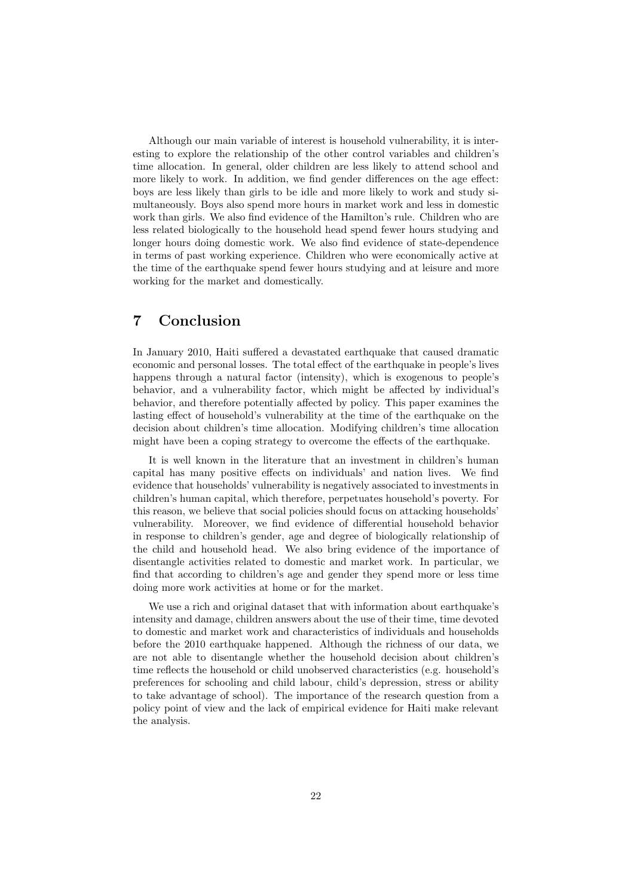Although our main variable of interest is household vulnerability, it is interesting to explore the relationship of the other control variables and children's time allocation. In general, older children are less likely to attend school and more likely to work. In addition, we find gender differences on the age effect: boys are less likely than girls to be idle and more likely to work and study simultaneously. Boys also spend more hours in market work and less in domestic work than girls. We also find evidence of the Hamilton's rule. Children who are less related biologically to the household head spend fewer hours studying and longer hours doing domestic work. We also find evidence of state-dependence in terms of past working experience. Children who were economically active at the time of the earthquake spend fewer hours studying and at leisure and more working for the market and domestically.

## 7 Conclusion

In January 2010, Haiti suffered a devastated earthquake that caused dramatic economic and personal losses. The total effect of the earthquake in people's lives happens through a natural factor (intensity), which is exogenous to people's behavior, and a vulnerability factor, which might be affected by individual's behavior, and therefore potentially affected by policy. This paper examines the lasting effect of household's vulnerability at the time of the earthquake on the decision about children's time allocation. Modifying children's time allocation might have been a coping strategy to overcome the effects of the earthquake.

It is well known in the literature that an investment in children's human capital has many positive effects on individuals' and nation lives. We find evidence that households' vulnerability is negatively associated to investments in children's human capital, which therefore, perpetuates household's poverty. For this reason, we believe that social policies should focus on attacking households' vulnerability. Moreover, we find evidence of differential household behavior in response to children's gender, age and degree of biologically relationship of the child and household head. We also bring evidence of the importance of disentangle activities related to domestic and market work. In particular, we find that according to children's age and gender they spend more or less time doing more work activities at home or for the market.

We use a rich and original dataset that with information about earthquake's intensity and damage, children answers about the use of their time, time devoted to domestic and market work and characteristics of individuals and households before the 2010 earthquake happened. Although the richness of our data, we are not able to disentangle whether the household decision about children's time reflects the household or child unobserved characteristics (e.g. household's preferences for schooling and child labour, child's depression, stress or ability to take advantage of school). The importance of the research question from a policy point of view and the lack of empirical evidence for Haiti make relevant the analysis.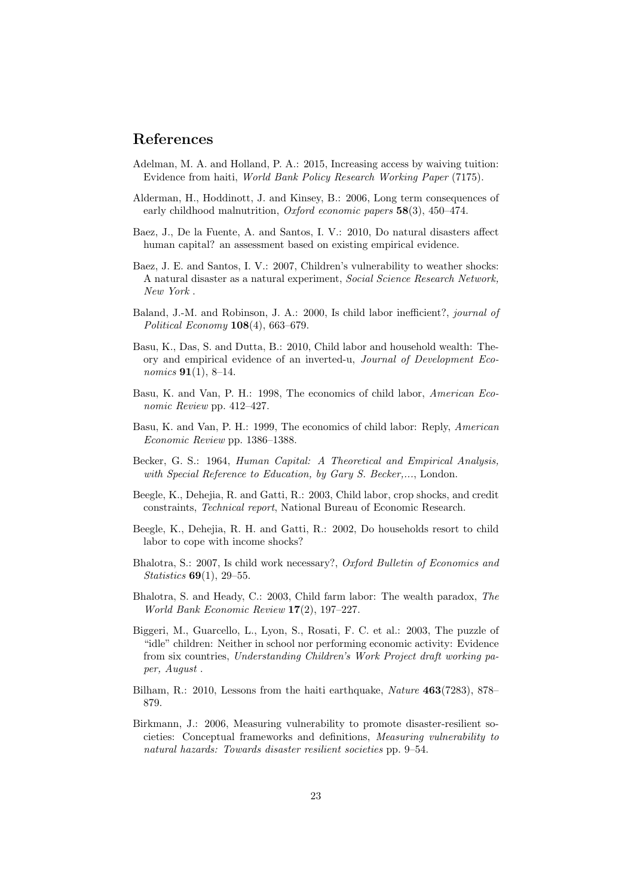## References

- <span id="page-22-3"></span>Adelman, M. A. and Holland, P. A.: 2015, Increasing access by waiving tuition: Evidence from haiti, World Bank Policy Research Working Paper (7175).
- <span id="page-22-4"></span>Alderman, H., Hoddinott, J. and Kinsey, B.: 2006, Long term consequences of early childhood malnutrition, *Oxford economic papers*  $58(3)$ ,  $450-474$ .
- <span id="page-22-0"></span>Baez, J., De la Fuente, A. and Santos, I. V.: 2010, Do natural disasters affect human capital? an assessment based on existing empirical evidence.
- <span id="page-22-6"></span>Baez, J. E. and Santos, I. V.: 2007, Children's vulnerability to weather shocks: A natural disaster as a natural experiment, Social Science Research Network, New York .
- <span id="page-22-11"></span>Baland, J.-M. and Robinson, J. A.: 2000, Is child labor inefficient?, journal of Political Economy 108(4), 663–679.
- <span id="page-22-12"></span>Basu, K., Das, S. and Dutta, B.: 2010, Child labor and household wealth: Theory and empirical evidence of an inverted-u, Journal of Development Eco*nomics* **91** $(1)$ , 8–14.
- <span id="page-22-7"></span>Basu, K. and Van, P. H.: 1998, The economics of child labor, American Economic Review pp. 412–427.
- <span id="page-22-2"></span>Basu, K. and Van, P. H.: 1999, The economics of child labor: Reply, American Economic Review pp. 1386–1388.
- <span id="page-22-8"></span>Becker, G. S.: 1964, Human Capital: A Theoretical and Empirical Analysis, with Special Reference to Education, by Gary S. Becker,..., London.
- <span id="page-22-5"></span>Beegle, K., Dehejia, R. and Gatti, R.: 2003, Child labor, crop shocks, and credit constraints, Technical report, National Bureau of Economic Research.
- <span id="page-22-1"></span>Beegle, K., Dehejia, R. H. and Gatti, R.: 2002, Do households resort to child labor to cope with income shocks?
- <span id="page-22-9"></span>Bhalotra, S.: 2007, Is child work necessary?, Oxford Bulletin of Economics and Statistics 69(1), 29–55.
- <span id="page-22-10"></span>Bhalotra, S. and Heady, C.: 2003, Child farm labor: The wealth paradox, The World Bank Economic Review 17(2), 197–227.
- <span id="page-22-15"></span>Biggeri, M., Guarcello, L., Lyon, S., Rosati, F. C. et al.: 2003, The puzzle of "idle" children: Neither in school nor performing economic activity: Evidence from six countries, Understanding Children's Work Project draft working paper, August .
- <span id="page-22-14"></span>Bilham, R.: 2010, Lessons from the haiti earthquake, *Nature* 463(7283), 878– 879.
- <span id="page-22-13"></span>Birkmann, J.: 2006, Measuring vulnerability to promote disaster-resilient societies: Conceptual frameworks and definitions, Measuring vulnerability to natural hazards: Towards disaster resilient societies pp. 9–54.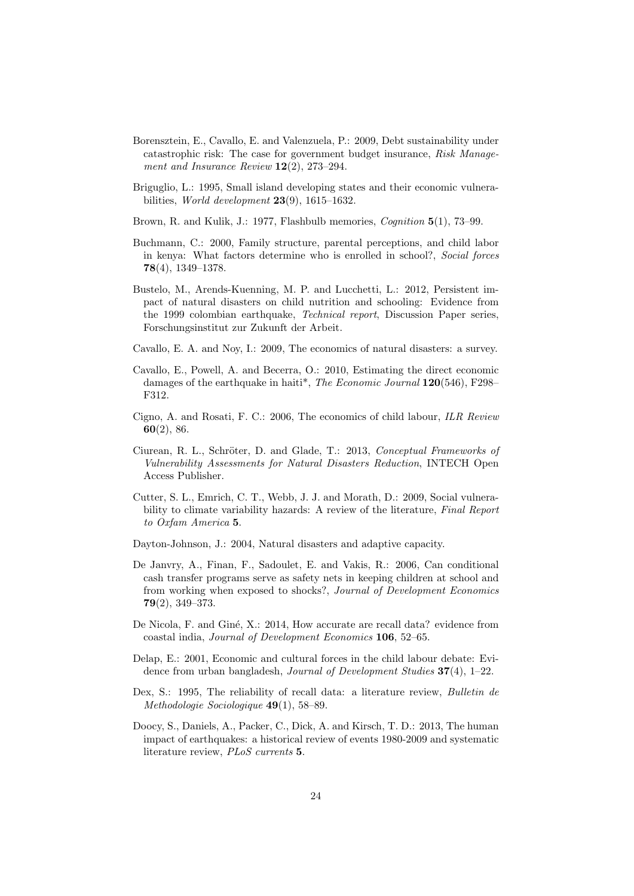- <span id="page-23-0"></span>Borensztein, E., Cavallo, E. and Valenzuela, P.: 2009, Debt sustainability under catastrophic risk: The case for government budget insurance, Risk Management and Insurance Review  $12(2)$ , 273–294.
- <span id="page-23-15"></span>Briguglio, L.: 1995, Small island developing states and their economic vulnerabilities, World development  $23(9)$ , 1615–1632.
- <span id="page-23-4"></span>Brown, R. and Kulik, J.: 1977, Flashbulb memories, *Cognition* 5(1), 73–99.
- <span id="page-23-11"></span>Buchmann, C.: 2000, Family structure, parental perceptions, and child labor in kenya: What factors determine who is enrolled in school?, Social forces 78(4), 1349–1378.
- <span id="page-23-9"></span>Bustelo, M., Arends-Kuenning, M. P. and Lucchetti, L.: 2012, Persistent impact of natural disasters on child nutrition and schooling: Evidence from the 1999 colombian earthquake, Technical report, Discussion Paper series, Forschungsinstitut zur Zukunft der Arbeit.
- <span id="page-23-6"></span>Cavallo, E. A. and Noy, I.: 2009, The economics of natural disasters: a survey.
- <span id="page-23-7"></span>Cavallo, E., Powell, A. and Becerra, O.: 2010, Estimating the direct economic damages of the earthquake in haiti\*, The Economic Journal 120(546), F298– F312.
- <span id="page-23-10"></span>Cigno, A. and Rosati, F. C.: 2006, The economics of child labour, ILR Review 60(2), 86.
- <span id="page-23-14"></span>Ciurean, R. L., Schröter, D. and Glade, T.: 2013, Conceptual Frameworks of Vulnerability Assessments for Natural Disasters Reduction, INTECH Open Access Publisher.
- <span id="page-23-13"></span>Cutter, S. L., Emrich, C. T., Webb, J. J. and Morath, D.: 2009, Social vulnerability to climate variability hazards: A review of the literature, Final Report to Oxfam America 5.
- <span id="page-23-1"></span>Dayton-Johnson, J.: 2004, Natural disasters and adaptive capacity.
- <span id="page-23-5"></span>De Janvry, A., Finan, F., Sadoulet, E. and Vakis, R.: 2006, Can conditional cash transfer programs serve as safety nets in keeping children at school and from working when exposed to shocks?, Journal of Development Economics 79(2), 349–373.
- <span id="page-23-2"></span>De Nicola, F. and Giné, X.: 2014, How accurate are recall data? evidence from coastal india, Journal of Development Economics 106, 52–65.
- <span id="page-23-12"></span>Delap, E.: 2001, Economic and cultural forces in the child labour debate: Evidence from urban bangladesh, *Journal of Development Studies* 37(4), 1–22.
- <span id="page-23-3"></span>Dex, S.: 1995, The reliability of recall data: a literature review, Bulletin de Methodologie Sociologique 49(1), 58–89.
- <span id="page-23-8"></span>Doocy, S., Daniels, A., Packer, C., Dick, A. and Kirsch, T. D.: 2013, The human impact of earthquakes: a historical review of events 1980-2009 and systematic literature review, PLoS currents 5.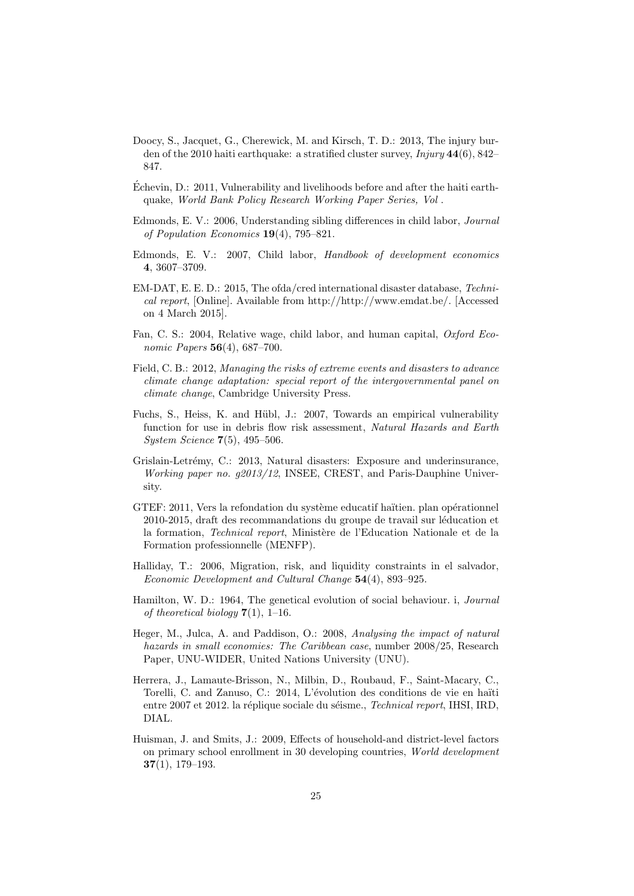- <span id="page-24-12"></span>Doocy, S., Jacquet, G., Cherewick, M. and Kirsch, T. D.: 2013, The injury burden of the 2010 haiti earthquake: a stratified cluster survey,  $Injury 44(6), 842-$ 847.
- <span id="page-24-4"></span>Echevin, D.: 2011, Vulnerability and livelihoods before and after the haiti earth- ´ quake, World Bank Policy Research Working Paper Series, Vol .
- <span id="page-24-10"></span>Edmonds, E. V.: 2006, Understanding sibling differences in child labor, Journal of Population Economics 19(4), 795–821.
- <span id="page-24-6"></span>Edmonds, E. V.: 2007, Child labor, Handbook of development economics 4, 3607–3709.
- <span id="page-24-2"></span>EM-DAT, E. E. D.: 2015, The ofda/cred international disaster database, Technical report, [Online]. Available from http://http://www.emdat.be/. [Accessed on 4 March 2015].
- <span id="page-24-9"></span>Fan, C. S.: 2004, Relative wage, child labor, and human capital, Oxford Economic Papers **56**(4), 687-700.
- <span id="page-24-3"></span>Field, C. B.: 2012, Managing the risks of extreme events and disasters to advance climate change adaptation: special report of the intergovernmental panel on climate change, Cambridge University Press.
- <span id="page-24-11"></span>Fuchs, S., Heiss, K. and Hübl, J.: 2007, Towards an empirical vulnerability function for use in debris flow risk assessment, Natural Hazards and Earth System Science 7(5), 495–506.
- <span id="page-24-1"></span>Grislain-Letrémy, C.: 2013, Natural disasters: Exposure and underinsurance, Working paper no. g2013/12, INSEE, CREST, and Paris-Dauphine University.
- <span id="page-24-13"></span>GTEF: 2011, Vers la refondation du système educatif haïtien. plan opérationnel 2010-2015, draft des recommandations du groupe de travail sur léducation et la formation, Technical report, Ministère de l'Education Nationale et de la Formation professionnelle (MENFP).
- <span id="page-24-7"></span>Halliday, T.: 2006, Migration, risk, and liquidity constraints in el salvador, Economic Development and Cultural Change 54(4), 893–925.
- <span id="page-24-14"></span>Hamilton, W. D.: 1964, The genetical evolution of social behaviour. i, Journal of theoretical biology  $7(1)$ , 1–16.
- <span id="page-24-0"></span>Heger, M., Julca, A. and Paddison, O.: 2008, Analysing the impact of natural hazards in small economies: The Caribbean case, number 2008/25, Research Paper, UNU-WIDER, United Nations University (UNU).
- <span id="page-24-5"></span>Herrera, J., Lamaute-Brisson, N., Milbin, D., Roubaud, F., Saint-Macary, C., Torelli, C. and Zanuso, C.: 2014, L'évolution des conditions de vie en haïti entre 2007 et 2012. la réplique sociale du séisme., Technical report, IHSI, IRD, DIAL.
- <span id="page-24-8"></span>Huisman, J. and Smits, J.: 2009, Effects of household-and district-level factors on primary school enrollment in 30 developing countries, World development 37(1), 179–193.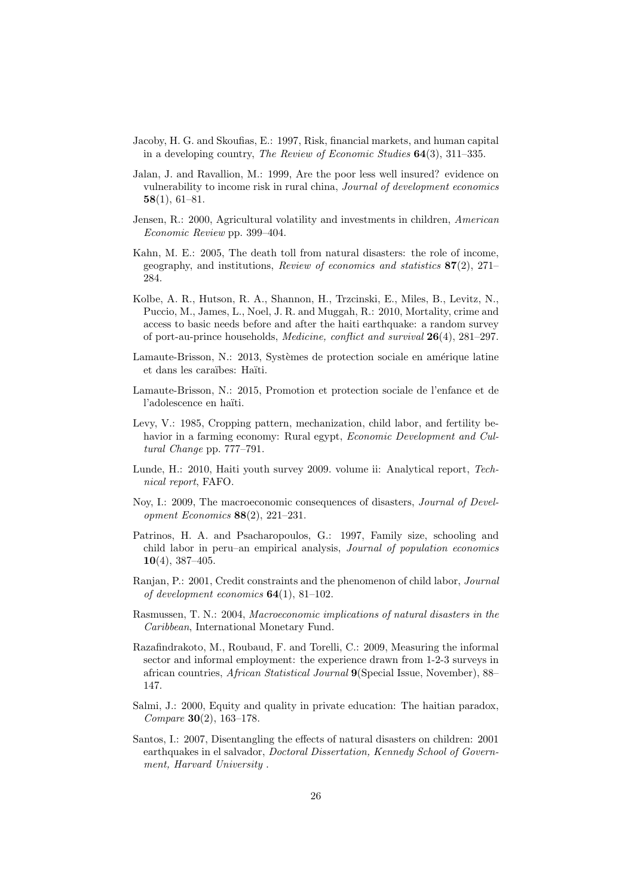- <span id="page-25-1"></span>Jacoby, H. G. and Skoufias, E.: 1997, Risk, financial markets, and human capital in a developing country, The Review of Economic Studies 64(3), 311–335.
- <span id="page-25-6"></span>Jalan, J. and Ravallion, M.: 1999, Are the poor less well insured? evidence on vulnerability to income risk in rural china, Journal of development economics 58(1), 61–81.
- <span id="page-25-4"></span>Jensen, R.: 2000, Agricultural volatility and investments in children, American Economic Review pp. 399–404.
- <span id="page-25-3"></span>Kahn, M. E.: 2005, The death toll from natural disasters: the role of income, geography, and institutions, *Review of economics and statistics*  $87(2)$ ,  $271-$ 284.
- <span id="page-25-13"></span>Kolbe, A. R., Hutson, R. A., Shannon, H., Trzcinski, E., Miles, B., Levitz, N., Puccio, M., James, L., Noel, J. R. and Muggah, R.: 2010, Mortality, crime and access to basic needs before and after the haiti earthquake: a random survey of port-au-prince households, *Medicine, conflict and survival*  $26(4)$ ,  $281-297$ .
- <span id="page-25-12"></span>Lamaute-Brisson, N.: 2013, Systèmes de protection sociale en amérique latine et dans les cara¨ıbes: Ha¨ıti.
- <span id="page-25-14"></span>Lamaute-Brisson, N.: 2015, Promotion et protection sociale de l'enfance et de l'adolescence en haïti.
- <span id="page-25-9"></span>Levy, V.: 1985, Cropping pattern, mechanization, child labor, and fertility behavior in a farming economy: Rural egypt, Economic Development and Cultural Change pp. 777–791.
- <span id="page-25-10"></span>Lunde, H.: 2010, Haiti youth survey 2009. volume ii: Analytical report, Technical report, FAFO.
- <span id="page-25-2"></span>Noy, I.: 2009, The macroeconomic consequences of disasters, Journal of Development Economics 88(2), 221–231.
- <span id="page-25-8"></span>Patrinos, H. A. and Psacharopoulos, G.: 1997, Family size, schooling and child labor in peru–an empirical analysis, Journal of population economics  $10(4)$ , 387-405.
- <span id="page-25-7"></span>Ranjan, P.: 2001, Credit constraints and the phenomenon of child labor, *Journal* of development economics  $64(1)$ ,  $81-102$ .
- <span id="page-25-0"></span>Rasmussen, T. N.: 2004, Macroeconomic implications of natural disasters in the Caribbean, International Monetary Fund.
- <span id="page-25-15"></span>Razafindrakoto, M., Roubaud, F. and Torelli, C.: 2009, Measuring the informal sector and informal employment: the experience drawn from 1-2-3 surveys in african countries, African Statistical Journal 9(Special Issue, November), 88– 147.
- <span id="page-25-11"></span>Salmi, J.: 2000, Equity and quality in private education: The haitian paradox, Compare 30(2), 163–178.
- <span id="page-25-5"></span>Santos, I.: 2007, Disentangling the effects of natural disasters on children: 2001 earthquakes in el salvador, Doctoral Dissertation, Kennedy School of Government, Harvard University .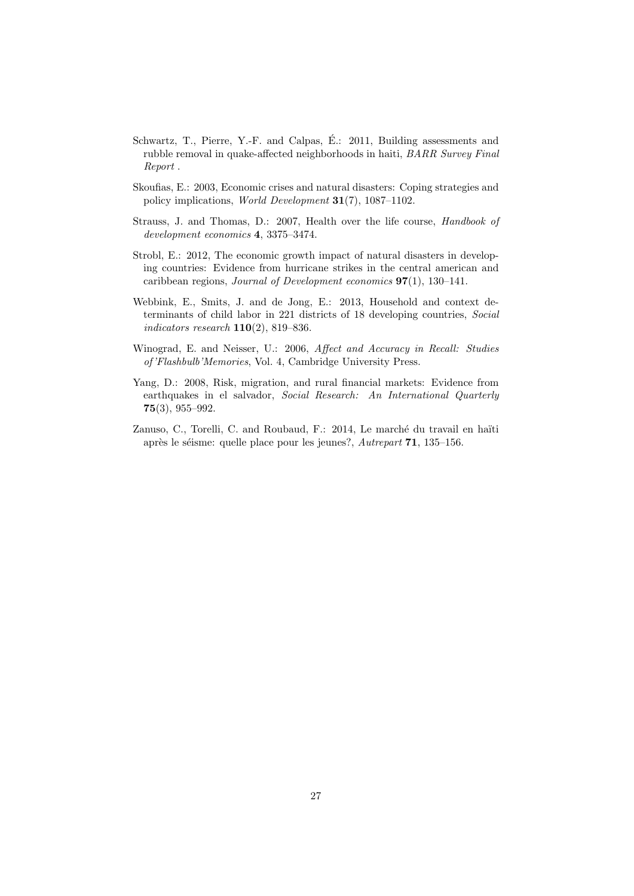- <span id="page-26-6"></span>Schwartz, T., Pierre, Y.-F. and Calpas, É.: 2011, Building assessments and rubble removal in quake-affected neighborhoods in haiti, BARR Survey Final Report .
- <span id="page-26-2"></span>Skoufias, E.: 2003, Economic crises and natural disasters: Coping strategies and policy implications, World Development 31(7), 1087–1102.
- <span id="page-26-4"></span>Strauss, J. and Thomas, D.: 2007, Health over the life course, Handbook of development economics 4, 3375–3474.
- <span id="page-26-7"></span>Strobl, E.: 2012, The economic growth impact of natural disasters in developing countries: Evidence from hurricane strikes in the central american and caribbean regions, Journal of Development economics 97(1), 130–141.
- <span id="page-26-5"></span>Webbink, E., Smits, J. and de Jong, E.: 2013, Household and context determinants of child labor in 221 districts of 18 developing countries, Social indicators research  $110(2)$ , 819–836.
- <span id="page-26-1"></span>Winograd, E. and Neisser, U.: 2006, *Affect and Accuracy in Recall: Studies* of 'Flashbulb'Memories, Vol. 4, Cambridge University Press.
- <span id="page-26-3"></span>Yang, D.: 2008, Risk, migration, and rural financial markets: Evidence from earthquakes in el salvador, Social Research: An International Quarterly 75(3), 955–992.
- <span id="page-26-0"></span>Zanuso, C., Torelli, C. and Roubaud, F.: 2014, Le marché du travail en haïti après le séisme: quelle place pour les jeunes?,  $Autreport 71, 135-156.$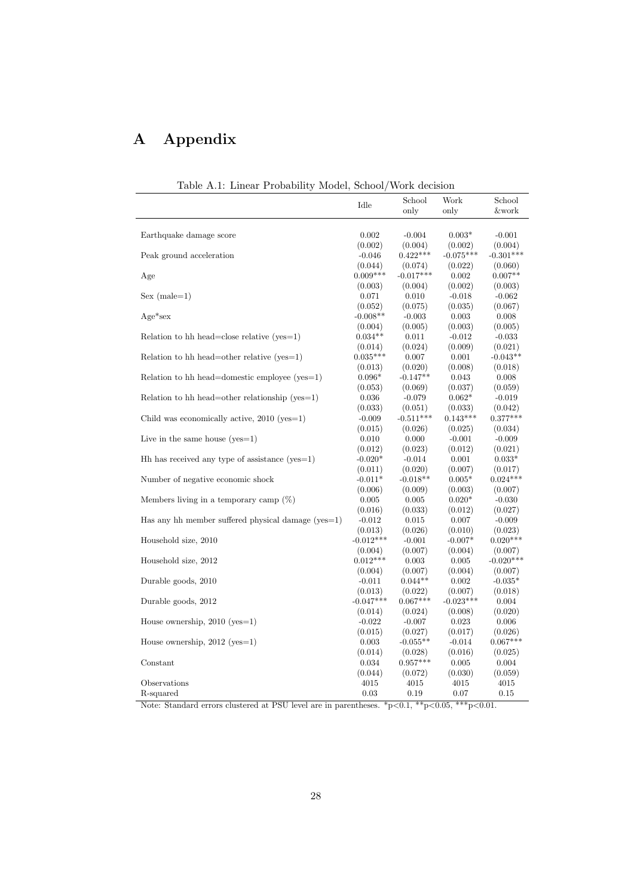## A Appendix

| Table A.I: Linear Probability Model, School/Work decision |             |             |             |             |
|-----------------------------------------------------------|-------------|-------------|-------------|-------------|
|                                                           | Idle        | School      | Work        | School      |
|                                                           |             | only        | only        | &work       |
|                                                           |             |             |             |             |
| Earthquake damage score                                   | 0.002       | $-0.004$    | $0.003*$    | $-0.001$    |
|                                                           | (0.002)     | (0.004)     | (0.002)     | (0.004)     |
| Peak ground acceleration                                  | $-0.046$    | $0.422***$  | $-0.075***$ | $-0.301***$ |
|                                                           | (0.044)     | (0.074)     | (0.022)     | (0.060)     |
| Age                                                       | $0.009***$  | $-0.017***$ | 0.002       | $0.007**$   |
|                                                           | (0.003)     | (0.004)     | (0.002)     | (0.003)     |
| $Sex (male=1)$                                            | 0.071       | 0.010       | $-0.018$    | $-0.062$    |
|                                                           | (0.052)     | (0.075)     | (0.035)     | (0.067)     |
| $Age*sex$                                                 | $-0.008**$  | $-0.003$    | 0.003       | 0.008       |
|                                                           | (0.004)     | (0.005)     | (0.003)     | (0.005)     |
| Relation to hh head=close relative $(yes=1)$              | $0.034**$   | 0.011       | $-0.012$    | $-0.033$    |
|                                                           | (0.014)     | (0.024)     | (0.009)     | (0.021)     |
| Relation to hh head=other relative ( $ves=1$ )            | $0.035***$  | 0.007       | 0.001       | $-0.043**$  |
|                                                           | (0.013)     | (0.020)     | (0.008)     | (0.018)     |
| Relation to hh head=domestic employee ( $yes=1$ )         | $0.096*$    | $-0.147**$  | $\,0.043\,$ | 0.008       |
|                                                           | (0.053)     | (0.069)     | (0.037)     | (0.059)     |
| Relation to hh head=other relationship ( $yes=1$ )        | 0.036       | $-0.079$    | $0.062*$    | $-0.019$    |
|                                                           | (0.033)     | (0.051)     | (0.033)     | (0.042)     |
| Child was economically active, $2010$ (yes=1)             | $-0.009$    | $-0.511***$ | $0.143***$  | $0.377***$  |
|                                                           | (0.015)     | (0.026)     | (0.025)     | (0.034)     |
| Live in the same house $(yes=1)$                          | 0.010       | 0.000       | $-0.001$    | $-0.009$    |
|                                                           | (0.012)     | (0.023)     | (0.012)     | (0.021)     |
| $Hh$ has received any type of assistance (yes=1)          | $-0.020*$   | $-0.014$    | 0.001       | $0.033*$    |
|                                                           | (0.011)     | (0.020)     | (0.007)     | (0.017)     |
| Number of negative economic shock                         | $-0.011*$   | $-0.018**$  | $0.005*$    | $0.024***$  |
|                                                           | (0.006)     | (0.009)     | (0.003)     | (0.007)     |
| Members living in a temporary camp $(\%)$                 | 0.005       | 0.005       | $0.020*$    | $-0.030$    |
|                                                           | (0.016)     | (0.033)     | (0.012)     | (0.027)     |
| Has any hh member suffered physical damage $(yes=1)$      | $-0.012$    | 0.015       | 0.007       | $-0.009$    |
|                                                           | (0.013)     | (0.026)     | (0.010)     | (0.023)     |
| Household size, 2010                                      | $-0.012***$ | $-0.001$    | $-0.007*$   | $0.020***$  |
|                                                           | (0.004)     | (0.007)     | (0.004)     | (0.007)     |
| Household size, 2012                                      | $0.012***$  | 0.003       | 0.005       | $-0.020***$ |
|                                                           | (0.004)     | (0.007)     | (0.004)     | (0.007)     |
| Durable goods, 2010                                       | $-0.011$    | $0.044**$   | 0.002       | $-0.035*$   |
|                                                           | (0.013)     | (0.022)     | (0.007)     | (0.018)     |
| Durable goods, 2012                                       | $-0.047***$ | $0.067***$  | $-0.023***$ | 0.004       |
|                                                           | (0.014)     | (0.024)     | (0.008)     | (0.020)     |
| House ownership, $2010$ (yes=1)                           | $-0.022$    | $-0.007$    | 0.023       | 0.006       |
|                                                           | (0.015)     | (0.027)     | (0.017)     | (0.026)     |
| House ownership, $2012$ (yes=1)                           | 0.003       | $-0.055**$  | $-0.014$    | $0.067***$  |
|                                                           | (0.014)     | (0.028)     | (0.016)     | (0.025)     |
| Constant                                                  | 0.034       | $0.957***$  | 0.005       | 0.004       |
|                                                           | (0.044)     | (0.072)     | (0.030)     | (0.059)     |
| Observations                                              | 4015        | 4015        | 4015        | 4015        |
| R-squared                                                 | 0.03        | 0.19        | 0.07        | 0.15        |

<span id="page-27-0"></span>Table A.1: Linear Probability Model, School/Work decision

Note: Standard errors clustered at PSU level are in parentheses.  $\frac{kp}{0.1}$ ,  $\frac{kp}{0.05}$ ,  $\frac{kkp}{0.01}$ .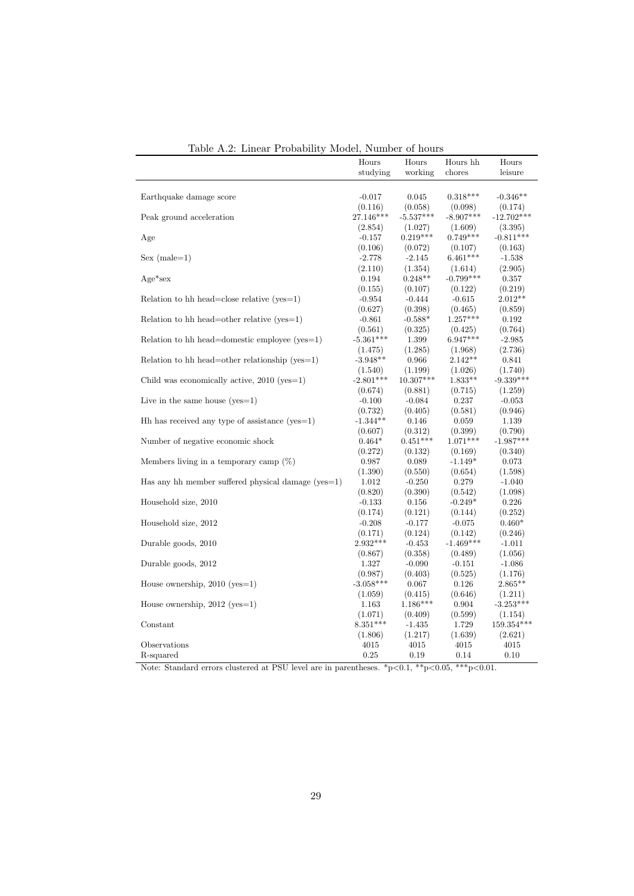| тарк т.з. шисаг т горарштү                           | www.             | Trainpor or nome |                        |                  |
|------------------------------------------------------|------------------|------------------|------------------------|------------------|
|                                                      | Hours            | Hours            | Hours hh               | Hours            |
|                                                      | studying         | working          | chores                 | leisure          |
|                                                      |                  |                  |                        |                  |
| Earthquake damage score                              | $-0.017$         | 0.045            | $0.318***$             | $-0.346**$       |
|                                                      | (0.116)          | (0.058)          | (0.098)                | (0.174)          |
| Peak ground acceleration                             | 27.146***        | $-5.537***$      | $-8.907***$            | $-12.702***$     |
|                                                      | (2.854)          | (1.027)          | (1.609)                | (3.395)          |
| Age                                                  | $-0.157$         | $0.219***$       | $0.749***$             | $-0.811***$      |
|                                                      | (0.106)          | (0.072)          | (0.107)                | (0.163)          |
| $Sex (male=1)$                                       | $-2.778$         | $-2.145$         | $6.461***$             | $-1.538$         |
|                                                      |                  | (1.354)          |                        |                  |
| $Age*sex$                                            | (2.110)<br>0.194 | $0.248**$        | (1.614)<br>$-0.799***$ | (2.905)<br>0.357 |
|                                                      |                  |                  |                        |                  |
|                                                      | (0.155)          | (0.107)          | (0.122)                | (0.219)          |
| Relation to hh head=close relative $(yes=1)$         | $-0.954$         | $-0.444$         | $-0.615$               | $2.012**$        |
|                                                      | (0.627)          | (0.398)          | (0.465)                | (0.859)          |
| Relation to hh head=other relative $(yes=1)$         | $-0.861$         | $-0.588*$        | $1.257***$             | 0.192            |
|                                                      | (0.561)          | (0.325)          | (0.425)                | (0.764)          |
| Relation to hh head=domestic employee ( $yes=1$ )    | $-5.361***$      | 1.399            | $6.947***$             | $-2.985$         |
|                                                      | (1.475)          | (1.285)          | (1.968)                | (2.736)          |
| Relation to hh head=other relationship ( $yes=1$ )   | $-3.948**$       | 0.966            | $2.142**$              | 0.841            |
|                                                      | (1.540)          | (1.199)          | (1.026)                | (1.740)          |
| Child was economically active, $2010$ (yes=1)        | $-2.801***$      | $10.307***$      | $1.833**$              | $-9.339***$      |
|                                                      | (0.674)          | (0.881)          | (0.715)                | (1.259)          |
| Live in the same house $(yes=1)$                     | $-0.100$         | $-0.084$         | 0.237                  | $-0.053$         |
|                                                      | (0.732)          | (0.405)          | (0.581)                | (0.946)          |
| $Hh$ has received any type of assistance (yes=1)     | $-1.344**$       | 0.146            | 0.059                  | 1.139            |
|                                                      | (0.607)          | (0.312)          | (0.399)                | (0.790)          |
| Number of negative economic shock                    | $0.464*$         | $0.451***$       | $1.071***$             | $-1.987***$      |
|                                                      | (0.272)          | (0.132)          | (0.169)                | (0.340)          |
| Members living in a temporary camp $(\%)$            | 0.987            | 0.089            | $-1.149*$              | 0.073            |
|                                                      | (1.390)          | (0.550)          | (0.654)                | (1.598)          |
| Has any hh member suffered physical damage $(yes=1)$ | 1.012            | $-0.250$         | 0.279                  | $-1.040$         |
|                                                      | (0.820)          | (0.390)          | (0.542)                | (1.098)          |
| Household size, 2010                                 | $-0.133$         | 0.156            | $-0.249*$              | 0.226            |
|                                                      | (0.174)          | (0.121)          | (0.144)                | (0.252)          |
| Household size, 2012                                 | $-0.208$         | $-0.177$         | $-0.075$               | $0.460*$         |
|                                                      | (0.171)          | (0.124)          | (0.142)                | (0.246)          |
| Durable goods, 2010                                  | $2.932***$       | $-0.453$         | $-1.469***$            | $-1.011$         |
|                                                      | (0.867)          | (0.358)          | (0.489)                | (1.056)          |
| Durable goods, 2012                                  | 1.327            | $-0.090$         | $-0.151$               | $-1.086$         |
|                                                      | (0.987)          | (0.403)          | (0.525)                | (1.176)          |
| House ownership, $2010$ (yes=1)                      | $-3.058***$      | 0.067            | 0.126                  | $2.865**$        |
|                                                      | (1.059)          | (0.415)          | (0.646)                | (1.211)          |
| House ownership, $2012$ (yes=1)                      | 1.163            | $1.186***$       | 0.904                  | $-3.253***$      |
|                                                      | (1.071)          | (0.409)          | (0.599)                | (1.154)          |
| Constant                                             | $8.351***$       | $-1.435$         | 1.729                  | 159.354***       |
|                                                      | (1.806)          | (1.217)          | (1.639)                | (2.621)          |
| Observations                                         | 4015             | 4015             | 4015                   | 4015             |
| R-squared                                            | 0.25             | 0.19             | 0.14                   | 0.10             |
|                                                      |                  |                  |                        |                  |

<span id="page-28-0"></span>Table A.2: Linear Probability Model, Number of hours

Note: Standard errors clustered at PSU level are in parentheses.  $*p<0.1$ ,  $**p<0.05$ ,  $***p<0.01$ .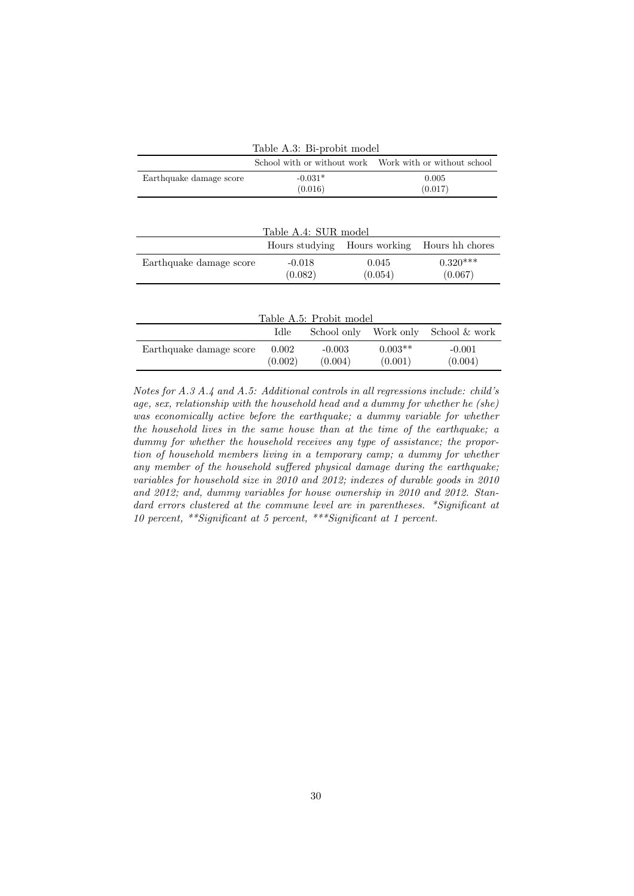<span id="page-29-1"></span><span id="page-29-0"></span>

| Table A.3: Bi-probit model |                             |               |                             |  |
|----------------------------|-----------------------------|---------------|-----------------------------|--|
|                            | School with or without work |               | Work with or without school |  |
| Earthquake damage score    | $-0.031*$                   | 0.005         |                             |  |
|                            | (0.016)                     |               | (0.017)                     |  |
|                            |                             |               |                             |  |
|                            |                             |               |                             |  |
|                            | Table A.4: SUR model        |               |                             |  |
|                            | Hours studying              | Hours working | Hours hh chores             |  |
| Earthquake damage score    | $-0.018$                    | 0.045         | $0.320***$                  |  |
|                            | (0.082)                     | (0.054)       | (0.067)                     |  |
|                            |                             |               |                             |  |
|                            |                             |               |                             |  |
| Table A.5: Probit model    |                             |               |                             |  |
|                            | Idle<br>School only         | Work only     | School & work               |  |

<span id="page-29-2"></span>

|                         | Idle    | School only | Work only | School & work |
|-------------------------|---------|-------------|-----------|---------------|
| Earthquake damage score | 0.002   | $-0.003$    | $0.003**$ | $-0.001$      |
|                         | (0.002) | (0.004)     | (0.001)   | (0.004)       |

Notes for [A.3](#page-29-0) [A.4](#page-29-1) and [A.5:](#page-29-2) Additional controls in all regressions include: child's age, sex, relationship with the household head and a dummy for whether he (she) was economically active before the earthquake; a dummy variable for whether the household lives in the same house than at the time of the earthquake; a dummy for whether the household receives any type of assistance; the proportion of household members living in a temporary camp; a dummy for whether any member of the household suffered physical damage during the earthquake; variables for household size in 2010 and 2012; indexes of durable goods in 2010 and 2012; and, dummy variables for house ownership in 2010 and 2012. Standard errors clustered at the commune level are in parentheses. \*Significant at 10 percent, \*\*Significant at 5 percent, \*\*\*Significant at 1 percent.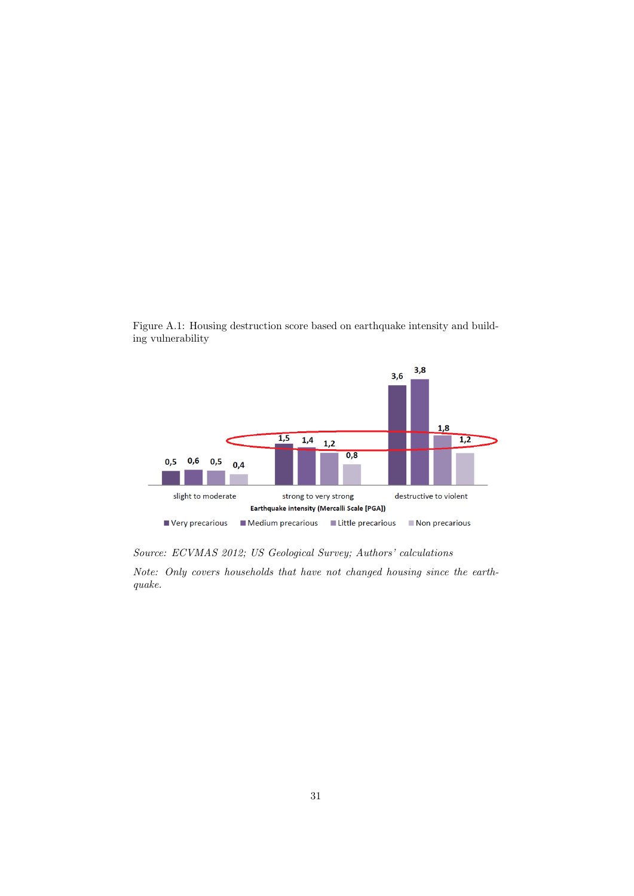

Figure A.1: Housing destruction score based on earthquake intensity and building vulnerability

Source: ECVMAS 2012; US Geological Survey; Authors' calculations

Note: Only covers households that have not changed housing since the earthquake.